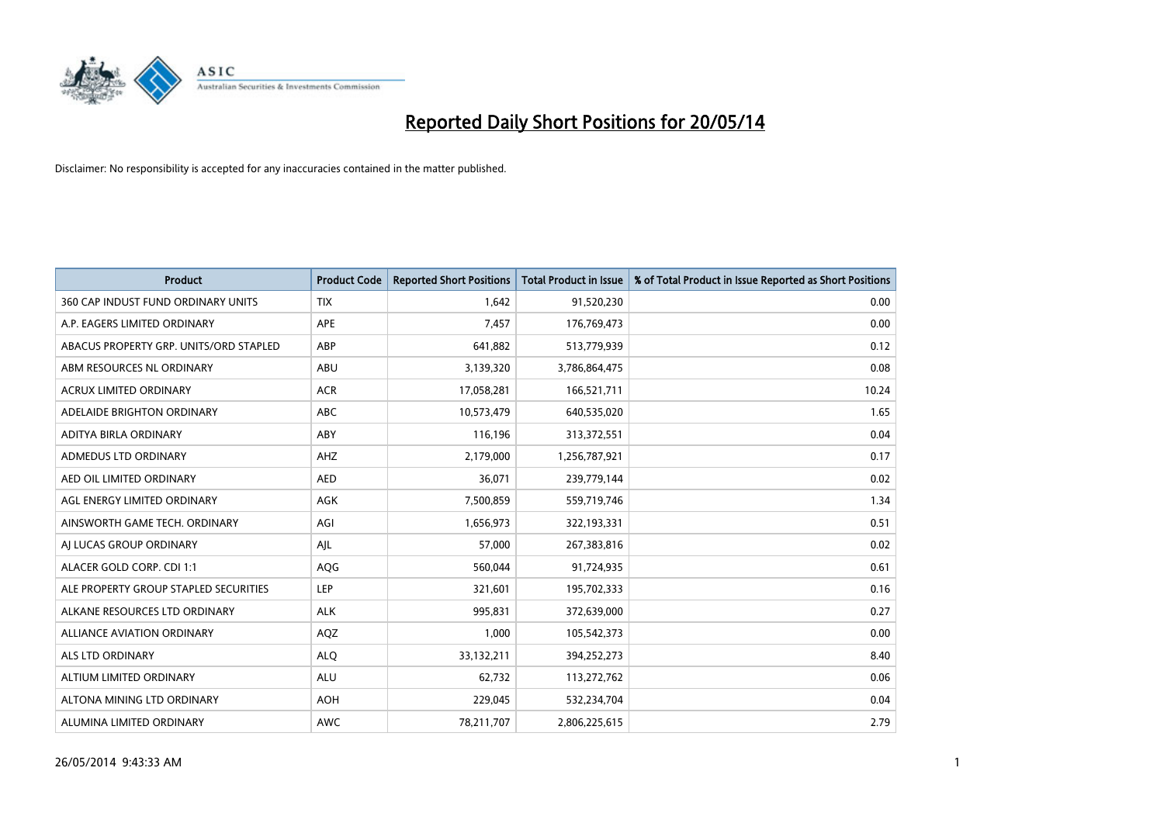

| <b>Product</b>                         | <b>Product Code</b> | <b>Reported Short Positions</b> | <b>Total Product in Issue</b> | % of Total Product in Issue Reported as Short Positions |
|----------------------------------------|---------------------|---------------------------------|-------------------------------|---------------------------------------------------------|
| 360 CAP INDUST FUND ORDINARY UNITS     | <b>TIX</b>          | 1,642                           | 91,520,230                    | 0.00                                                    |
| A.P. EAGERS LIMITED ORDINARY           | APE                 | 7,457                           | 176,769,473                   | 0.00                                                    |
| ABACUS PROPERTY GRP. UNITS/ORD STAPLED | ABP                 | 641,882                         | 513,779,939                   | 0.12                                                    |
| ABM RESOURCES NL ORDINARY              | ABU                 | 3,139,320                       | 3,786,864,475                 | 0.08                                                    |
| <b>ACRUX LIMITED ORDINARY</b>          | <b>ACR</b>          | 17,058,281                      | 166,521,711                   | 10.24                                                   |
| ADELAIDE BRIGHTON ORDINARY             | <b>ABC</b>          | 10,573,479                      | 640,535,020                   | 1.65                                                    |
| ADITYA BIRLA ORDINARY                  | ABY                 | 116,196                         | 313,372,551                   | 0.04                                                    |
| ADMEDUS LTD ORDINARY                   | AHZ                 | 2,179,000                       | 1,256,787,921                 | 0.17                                                    |
| AED OIL LIMITED ORDINARY               | <b>AED</b>          | 36,071                          | 239,779,144                   | 0.02                                                    |
| AGL ENERGY LIMITED ORDINARY            | <b>AGK</b>          | 7,500,859                       | 559,719,746                   | 1.34                                                    |
| AINSWORTH GAME TECH. ORDINARY          | AGI                 | 1,656,973                       | 322,193,331                   | 0.51                                                    |
| AI LUCAS GROUP ORDINARY                | AJL                 | 57,000                          | 267,383,816                   | 0.02                                                    |
| ALACER GOLD CORP. CDI 1:1              | AQG                 | 560,044                         | 91,724,935                    | 0.61                                                    |
| ALE PROPERTY GROUP STAPLED SECURITIES  | LEP                 | 321,601                         | 195,702,333                   | 0.16                                                    |
| ALKANE RESOURCES LTD ORDINARY          | <b>ALK</b>          | 995,831                         | 372,639,000                   | 0.27                                                    |
| ALLIANCE AVIATION ORDINARY             | AQZ                 | 1,000                           | 105,542,373                   | 0.00                                                    |
| ALS LTD ORDINARY                       | <b>ALQ</b>          | 33,132,211                      | 394,252,273                   | 8.40                                                    |
| ALTIUM LIMITED ORDINARY                | ALU                 | 62,732                          | 113,272,762                   | 0.06                                                    |
| ALTONA MINING LTD ORDINARY             | <b>AOH</b>          | 229,045                         | 532,234,704                   | 0.04                                                    |
| ALUMINA LIMITED ORDINARY               | AWC                 | 78,211,707                      | 2,806,225,615                 | 2.79                                                    |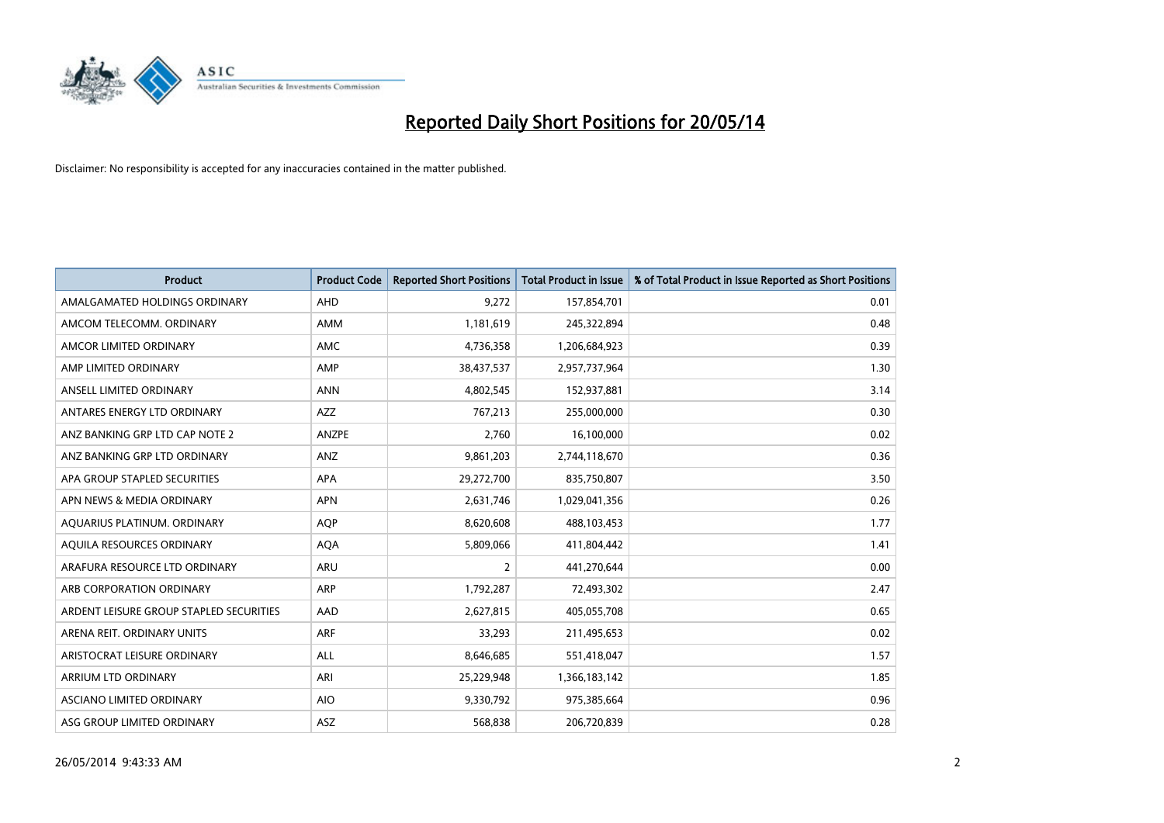

| <b>Product</b>                          | <b>Product Code</b> | <b>Reported Short Positions</b> | <b>Total Product in Issue</b> | % of Total Product in Issue Reported as Short Positions |
|-----------------------------------------|---------------------|---------------------------------|-------------------------------|---------------------------------------------------------|
| AMALGAMATED HOLDINGS ORDINARY           | AHD                 | 9,272                           | 157,854,701                   | 0.01                                                    |
| AMCOM TELECOMM. ORDINARY                | AMM                 | 1,181,619                       | 245,322,894                   | 0.48                                                    |
| AMCOR LIMITED ORDINARY                  | AMC                 | 4,736,358                       | 1,206,684,923                 | 0.39                                                    |
| AMP LIMITED ORDINARY                    | AMP                 | 38,437,537                      | 2,957,737,964                 | 1.30                                                    |
| ANSELL LIMITED ORDINARY                 | <b>ANN</b>          | 4,802,545                       | 152,937,881                   | 3.14                                                    |
| ANTARES ENERGY LTD ORDINARY             | AZZ                 | 767,213                         | 255,000,000                   | 0.30                                                    |
| ANZ BANKING GRP LTD CAP NOTE 2          | ANZPE               | 2,760                           | 16,100,000                    | 0.02                                                    |
| ANZ BANKING GRP LTD ORDINARY            | ANZ                 | 9,861,203                       | 2,744,118,670                 | 0.36                                                    |
| APA GROUP STAPLED SECURITIES            | <b>APA</b>          | 29,272,700                      | 835,750,807                   | 3.50                                                    |
| APN NEWS & MEDIA ORDINARY               | <b>APN</b>          | 2,631,746                       | 1,029,041,356                 | 0.26                                                    |
| AQUARIUS PLATINUM. ORDINARY             | <b>AOP</b>          | 8,620,608                       | 488,103,453                   | 1.77                                                    |
| AQUILA RESOURCES ORDINARY               | <b>AQA</b>          | 5,809,066                       | 411,804,442                   | 1.41                                                    |
| ARAFURA RESOURCE LTD ORDINARY           | ARU                 | $\overline{2}$                  | 441,270,644                   | 0.00                                                    |
| ARB CORPORATION ORDINARY                | ARP                 | 1,792,287                       | 72,493,302                    | 2.47                                                    |
| ARDENT LEISURE GROUP STAPLED SECURITIES | AAD                 | 2,627,815                       | 405,055,708                   | 0.65                                                    |
| ARENA REIT. ORDINARY UNITS              | <b>ARF</b>          | 33,293                          | 211,495,653                   | 0.02                                                    |
| ARISTOCRAT LEISURE ORDINARY             | ALL                 | 8,646,685                       | 551,418,047                   | 1.57                                                    |
| ARRIUM LTD ORDINARY                     | ARI                 | 25,229,948                      | 1,366,183,142                 | 1.85                                                    |
| ASCIANO LIMITED ORDINARY                | <b>AIO</b>          | 9,330,792                       | 975,385,664                   | 0.96                                                    |
| ASG GROUP LIMITED ORDINARY              | ASZ                 | 568,838                         | 206,720,839                   | 0.28                                                    |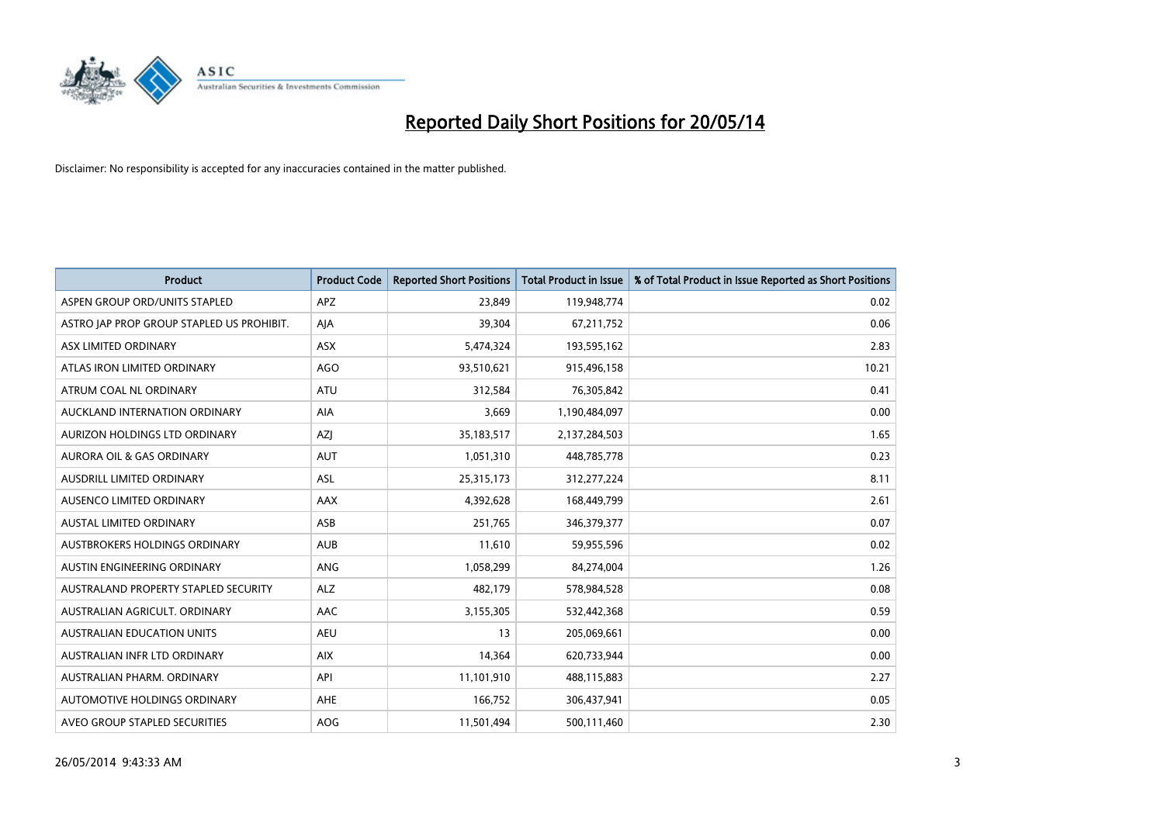

| <b>Product</b>                            | <b>Product Code</b> | <b>Reported Short Positions</b> | <b>Total Product in Issue</b> | % of Total Product in Issue Reported as Short Positions |
|-------------------------------------------|---------------------|---------------------------------|-------------------------------|---------------------------------------------------------|
| ASPEN GROUP ORD/UNITS STAPLED             | <b>APZ</b>          | 23,849                          | 119,948,774                   | 0.02                                                    |
| ASTRO JAP PROP GROUP STAPLED US PROHIBIT. | AJA                 | 39,304                          | 67,211,752                    | 0.06                                                    |
| ASX LIMITED ORDINARY                      | <b>ASX</b>          | 5,474,324                       | 193,595,162                   | 2.83                                                    |
| ATLAS IRON LIMITED ORDINARY               | AGO                 | 93,510,621                      | 915,496,158                   | 10.21                                                   |
| ATRUM COAL NL ORDINARY                    | ATU                 | 312,584                         | 76,305,842                    | 0.41                                                    |
| AUCKLAND INTERNATION ORDINARY             | AIA                 | 3,669                           | 1,190,484,097                 | 0.00                                                    |
| AURIZON HOLDINGS LTD ORDINARY             | AZJ                 | 35,183,517                      | 2,137,284,503                 | 1.65                                                    |
| <b>AURORA OIL &amp; GAS ORDINARY</b>      | <b>AUT</b>          | 1,051,310                       | 448,785,778                   | 0.23                                                    |
| AUSDRILL LIMITED ORDINARY                 | ASL                 | 25,315,173                      | 312,277,224                   | 8.11                                                    |
| AUSENCO LIMITED ORDINARY                  | AAX                 | 4,392,628                       | 168,449,799                   | 2.61                                                    |
| AUSTAL LIMITED ORDINARY                   | ASB                 | 251,765                         | 346,379,377                   | 0.07                                                    |
| AUSTBROKERS HOLDINGS ORDINARY             | <b>AUB</b>          | 11,610                          | 59,955,596                    | 0.02                                                    |
| AUSTIN ENGINEERING ORDINARY               | ANG                 | 1,058,299                       | 84,274,004                    | 1.26                                                    |
| AUSTRALAND PROPERTY STAPLED SECURITY      | <b>ALZ</b>          | 482,179                         | 578,984,528                   | 0.08                                                    |
| AUSTRALIAN AGRICULT, ORDINARY             | AAC                 | 3,155,305                       | 532,442,368                   | 0.59                                                    |
| AUSTRALIAN EDUCATION UNITS                | <b>AEU</b>          | 13                              | 205,069,661                   | 0.00                                                    |
| AUSTRALIAN INFR LTD ORDINARY              | <b>AIX</b>          | 14,364                          | 620,733,944                   | 0.00                                                    |
| AUSTRALIAN PHARM. ORDINARY                | API                 | 11,101,910                      | 488,115,883                   | 2.27                                                    |
| AUTOMOTIVE HOLDINGS ORDINARY              | AHE                 | 166,752                         | 306,437,941                   | 0.05                                                    |
| AVEO GROUP STAPLED SECURITIES             | AOG                 | 11,501,494                      | 500,111,460                   | 2.30                                                    |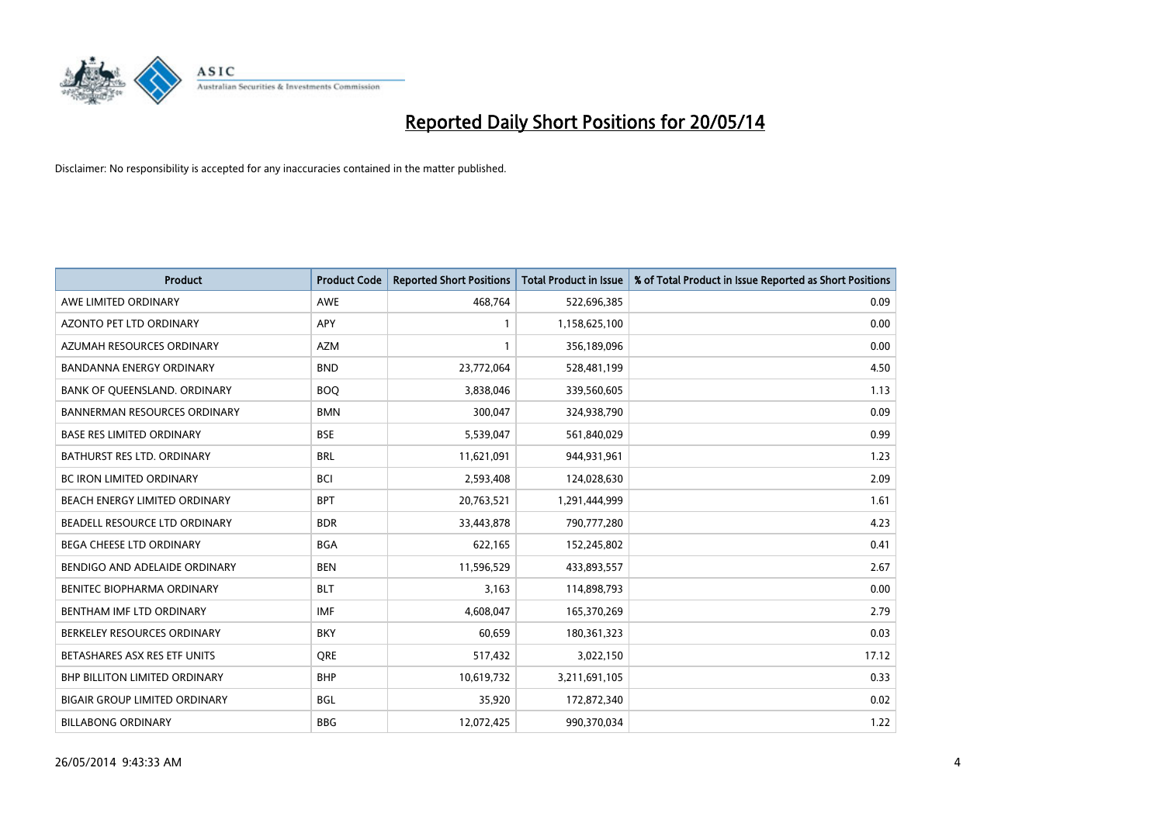

| <b>Product</b>                       | <b>Product Code</b> | <b>Reported Short Positions</b> | <b>Total Product in Issue</b> | % of Total Product in Issue Reported as Short Positions |
|--------------------------------------|---------------------|---------------------------------|-------------------------------|---------------------------------------------------------|
| AWE LIMITED ORDINARY                 | <b>AWE</b>          | 468.764                         | 522,696,385                   | 0.09                                                    |
| AZONTO PET LTD ORDINARY              | <b>APY</b>          | 1                               | 1,158,625,100                 | 0.00                                                    |
| AZUMAH RESOURCES ORDINARY            | <b>AZM</b>          | 1                               | 356,189,096                   | 0.00                                                    |
| BANDANNA ENERGY ORDINARY             | <b>BND</b>          | 23,772,064                      | 528,481,199                   | 4.50                                                    |
| BANK OF QUEENSLAND. ORDINARY         | <b>BOQ</b>          | 3,838,046                       | 339,560,605                   | 1.13                                                    |
| <b>BANNERMAN RESOURCES ORDINARY</b>  | <b>BMN</b>          | 300,047                         | 324,938,790                   | 0.09                                                    |
| <b>BASE RES LIMITED ORDINARY</b>     | <b>BSE</b>          | 5,539,047                       | 561,840,029                   | 0.99                                                    |
| <b>BATHURST RES LTD. ORDINARY</b>    | <b>BRL</b>          | 11,621,091                      | 944,931,961                   | 1.23                                                    |
| BC IRON LIMITED ORDINARY             | <b>BCI</b>          | 2,593,408                       | 124,028,630                   | 2.09                                                    |
| BEACH ENERGY LIMITED ORDINARY        | <b>BPT</b>          | 20,763,521                      | 1,291,444,999                 | 1.61                                                    |
| BEADELL RESOURCE LTD ORDINARY        | <b>BDR</b>          | 33,443,878                      | 790,777,280                   | 4.23                                                    |
| <b>BEGA CHEESE LTD ORDINARY</b>      | <b>BGA</b>          | 622,165                         | 152,245,802                   | 0.41                                                    |
| BENDIGO AND ADELAIDE ORDINARY        | <b>BEN</b>          | 11,596,529                      | 433,893,557                   | 2.67                                                    |
| <b>BENITEC BIOPHARMA ORDINARY</b>    | <b>BLT</b>          | 3,163                           | 114,898,793                   | 0.00                                                    |
| BENTHAM IMF LTD ORDINARY             | <b>IMF</b>          | 4,608,047                       | 165,370,269                   | 2.79                                                    |
| BERKELEY RESOURCES ORDINARY          | <b>BKY</b>          | 60,659                          | 180,361,323                   | 0.03                                                    |
| BETASHARES ASX RES ETF UNITS         | <b>ORE</b>          | 517,432                         | 3,022,150                     | 17.12                                                   |
| <b>BHP BILLITON LIMITED ORDINARY</b> | <b>BHP</b>          | 10,619,732                      | 3,211,691,105                 | 0.33                                                    |
| <b>BIGAIR GROUP LIMITED ORDINARY</b> | <b>BGL</b>          | 35,920                          | 172,872,340                   | 0.02                                                    |
| <b>BILLABONG ORDINARY</b>            | <b>BBG</b>          | 12,072,425                      | 990,370,034                   | 1.22                                                    |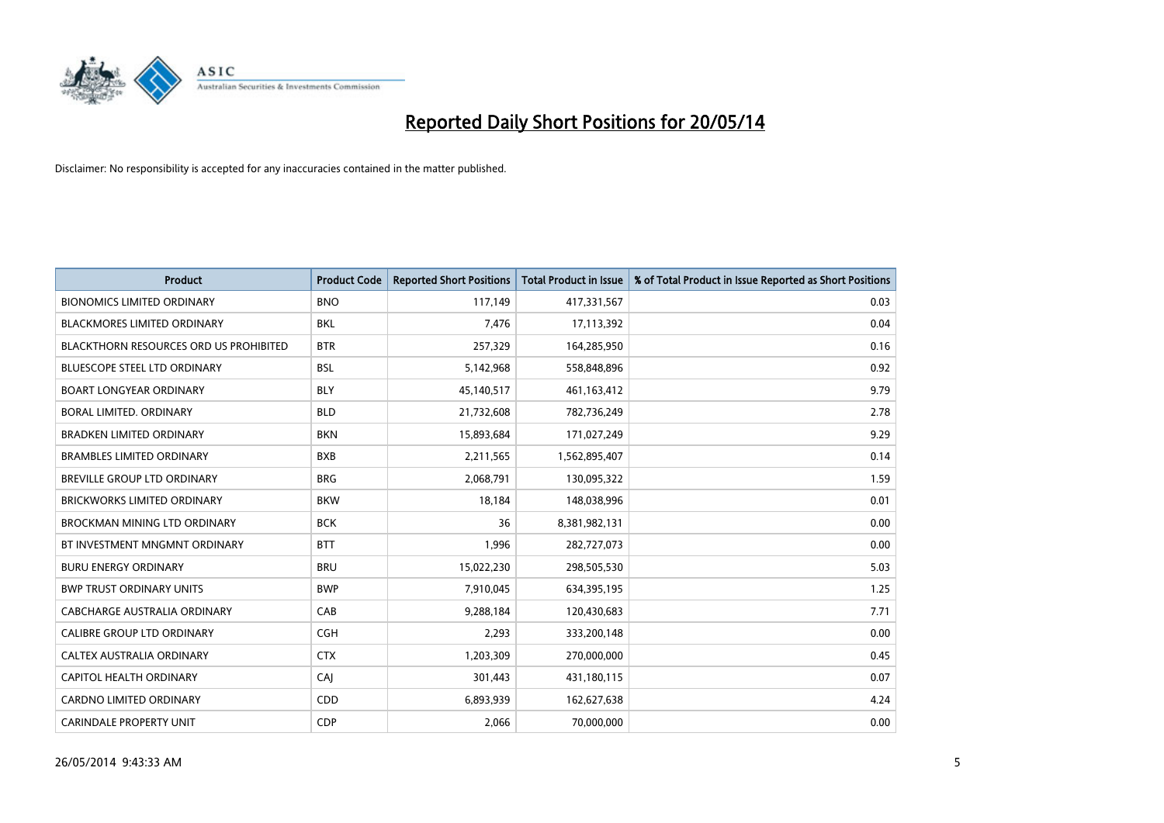

| <b>Product</b>                         | <b>Product Code</b> | <b>Reported Short Positions</b> | <b>Total Product in Issue</b> | % of Total Product in Issue Reported as Short Positions |
|----------------------------------------|---------------------|---------------------------------|-------------------------------|---------------------------------------------------------|
| <b>BIONOMICS LIMITED ORDINARY</b>      | <b>BNO</b>          | 117,149                         | 417,331,567                   | 0.03                                                    |
| <b>BLACKMORES LIMITED ORDINARY</b>     | <b>BKL</b>          | 7,476                           | 17,113,392                    | 0.04                                                    |
| BLACKTHORN RESOURCES ORD US PROHIBITED | <b>BTR</b>          | 257,329                         | 164,285,950                   | 0.16                                                    |
| <b>BLUESCOPE STEEL LTD ORDINARY</b>    | <b>BSL</b>          | 5,142,968                       | 558,848,896                   | 0.92                                                    |
| <b>BOART LONGYEAR ORDINARY</b>         | <b>BLY</b>          | 45,140,517                      | 461,163,412                   | 9.79                                                    |
| BORAL LIMITED, ORDINARY                | <b>BLD</b>          | 21,732,608                      | 782,736,249                   | 2.78                                                    |
| <b>BRADKEN LIMITED ORDINARY</b>        | <b>BKN</b>          | 15,893,684                      | 171,027,249                   | 9.29                                                    |
| <b>BRAMBLES LIMITED ORDINARY</b>       | <b>BXB</b>          | 2,211,565                       | 1,562,895,407                 | 0.14                                                    |
| BREVILLE GROUP LTD ORDINARY            | <b>BRG</b>          | 2,068,791                       | 130,095,322                   | 1.59                                                    |
| <b>BRICKWORKS LIMITED ORDINARY</b>     | <b>BKW</b>          | 18,184                          | 148,038,996                   | 0.01                                                    |
| <b>BROCKMAN MINING LTD ORDINARY</b>    | <b>BCK</b>          | 36                              | 8,381,982,131                 | 0.00                                                    |
| BT INVESTMENT MNGMNT ORDINARY          | <b>BTT</b>          | 1,996                           | 282,727,073                   | 0.00                                                    |
| <b>BURU ENERGY ORDINARY</b>            | <b>BRU</b>          | 15,022,230                      | 298,505,530                   | 5.03                                                    |
| <b>BWP TRUST ORDINARY UNITS</b>        | <b>BWP</b>          | 7,910,045                       | 634,395,195                   | 1.25                                                    |
| CABCHARGE AUSTRALIA ORDINARY           | CAB                 | 9,288,184                       | 120,430,683                   | 7.71                                                    |
| <b>CALIBRE GROUP LTD ORDINARY</b>      | <b>CGH</b>          | 2,293                           | 333,200,148                   | 0.00                                                    |
| CALTEX AUSTRALIA ORDINARY              | <b>CTX</b>          | 1,203,309                       | 270,000,000                   | 0.45                                                    |
| CAPITOL HEALTH ORDINARY                | CAJ                 | 301,443                         | 431,180,115                   | 0.07                                                    |
| <b>CARDNO LIMITED ORDINARY</b>         | CDD                 | 6,893,939                       | 162,627,638                   | 4.24                                                    |
| <b>CARINDALE PROPERTY UNIT</b>         | <b>CDP</b>          | 2,066                           | 70,000,000                    | 0.00                                                    |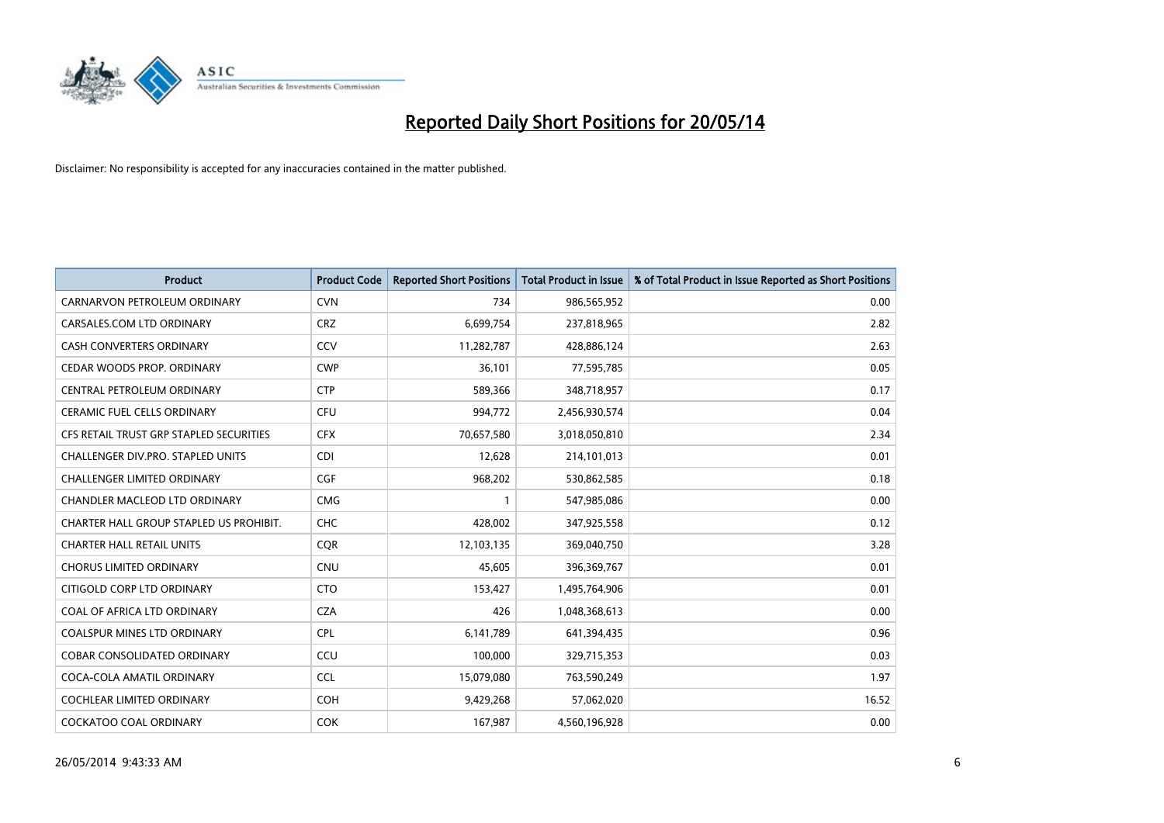

| Product                                 | <b>Product Code</b> | <b>Reported Short Positions</b> | <b>Total Product in Issue</b> | % of Total Product in Issue Reported as Short Positions |
|-----------------------------------------|---------------------|---------------------------------|-------------------------------|---------------------------------------------------------|
| CARNARVON PETROLEUM ORDINARY            | <b>CVN</b>          | 734                             | 986,565,952                   | 0.00                                                    |
| CARSALES.COM LTD ORDINARY               | <b>CRZ</b>          | 6,699,754                       | 237,818,965                   | 2.82                                                    |
| <b>CASH CONVERTERS ORDINARY</b>         | CCV                 | 11,282,787                      | 428,886,124                   | 2.63                                                    |
| CEDAR WOODS PROP. ORDINARY              | <b>CWP</b>          | 36,101                          | 77,595,785                    | 0.05                                                    |
| CENTRAL PETROLEUM ORDINARY              | <b>CTP</b>          | 589,366                         | 348,718,957                   | 0.17                                                    |
| <b>CERAMIC FUEL CELLS ORDINARY</b>      | <b>CFU</b>          | 994,772                         | 2,456,930,574                 | 0.04                                                    |
| CFS RETAIL TRUST GRP STAPLED SECURITIES | <b>CFX</b>          | 70,657,580                      | 3,018,050,810                 | 2.34                                                    |
| CHALLENGER DIV.PRO. STAPLED UNITS       | <b>CDI</b>          | 12,628                          | 214,101,013                   | 0.01                                                    |
| <b>CHALLENGER LIMITED ORDINARY</b>      | <b>CGF</b>          | 968,202                         | 530,862,585                   | 0.18                                                    |
| CHANDLER MACLEOD LTD ORDINARY           | <b>CMG</b>          | $\mathbf{1}$                    | 547,985,086                   | 0.00                                                    |
| CHARTER HALL GROUP STAPLED US PROHIBIT. | <b>CHC</b>          | 428,002                         | 347,925,558                   | 0.12                                                    |
| <b>CHARTER HALL RETAIL UNITS</b>        | <b>CQR</b>          | 12,103,135                      | 369,040,750                   | 3.28                                                    |
| <b>CHORUS LIMITED ORDINARY</b>          | <b>CNU</b>          | 45,605                          | 396,369,767                   | 0.01                                                    |
| CITIGOLD CORP LTD ORDINARY              | <b>CTO</b>          | 153,427                         | 1,495,764,906                 | 0.01                                                    |
| COAL OF AFRICA LTD ORDINARY             | <b>CZA</b>          | 426                             | 1,048,368,613                 | 0.00                                                    |
| COALSPUR MINES LTD ORDINARY             | <b>CPL</b>          | 6,141,789                       | 641,394,435                   | 0.96                                                    |
| COBAR CONSOLIDATED ORDINARY             | CCU                 | 100,000                         | 329,715,353                   | 0.03                                                    |
| COCA-COLA AMATIL ORDINARY               | <b>CCL</b>          | 15,079,080                      | 763,590,249                   | 1.97                                                    |
| <b>COCHLEAR LIMITED ORDINARY</b>        | <b>COH</b>          | 9,429,268                       | 57,062,020                    | 16.52                                                   |
| <b>COCKATOO COAL ORDINARY</b>           | <b>COK</b>          | 167,987                         | 4,560,196,928                 | 0.00                                                    |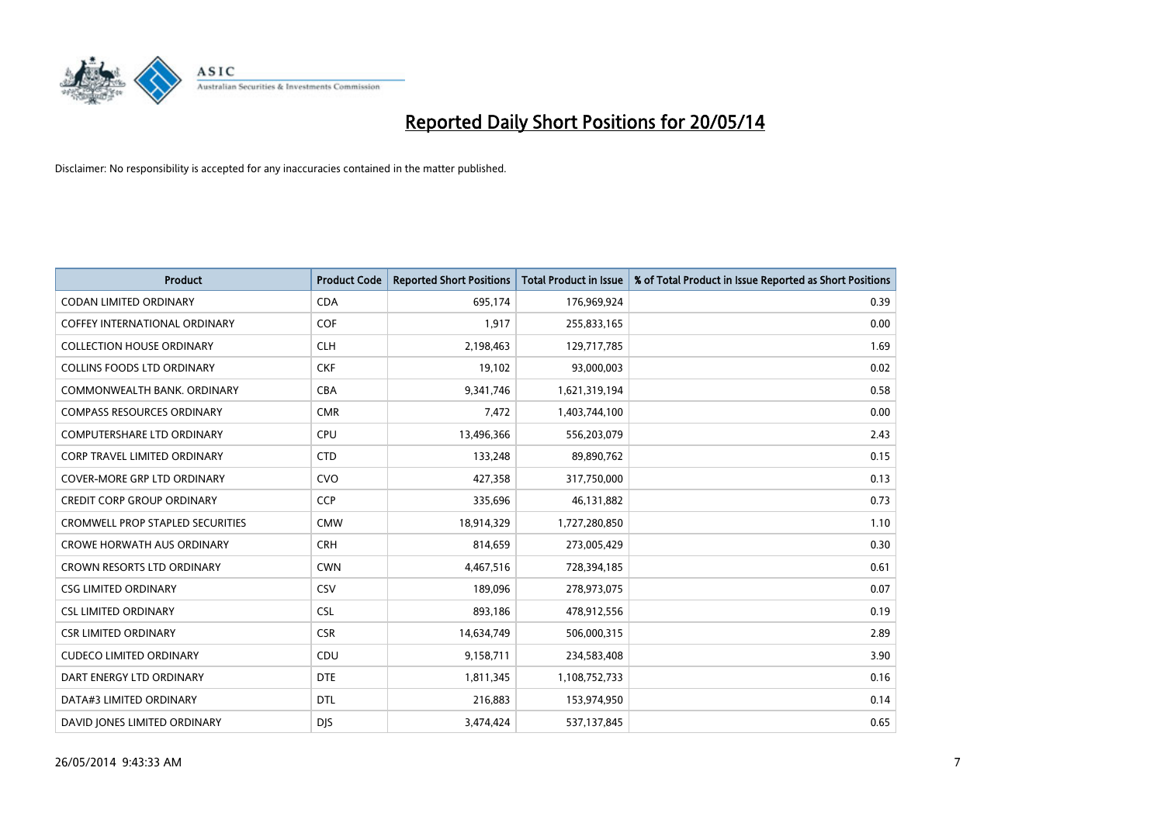

| Product                             | <b>Product Code</b> | <b>Reported Short Positions</b> | <b>Total Product in Issue</b> | % of Total Product in Issue Reported as Short Positions |
|-------------------------------------|---------------------|---------------------------------|-------------------------------|---------------------------------------------------------|
| <b>CODAN LIMITED ORDINARY</b>       | <b>CDA</b>          | 695,174                         | 176,969,924                   | 0.39                                                    |
| COFFEY INTERNATIONAL ORDINARY       | <b>COF</b>          | 1,917                           | 255,833,165                   | 0.00                                                    |
| <b>COLLECTION HOUSE ORDINARY</b>    | <b>CLH</b>          | 2,198,463                       | 129,717,785                   | 1.69                                                    |
| <b>COLLINS FOODS LTD ORDINARY</b>   | <b>CKF</b>          | 19,102                          | 93,000,003                    | 0.02                                                    |
| COMMONWEALTH BANK, ORDINARY         | <b>CBA</b>          | 9,341,746                       | 1,621,319,194                 | 0.58                                                    |
| <b>COMPASS RESOURCES ORDINARY</b>   | <b>CMR</b>          | 7,472                           | 1,403,744,100                 | 0.00                                                    |
| <b>COMPUTERSHARE LTD ORDINARY</b>   | <b>CPU</b>          | 13,496,366                      | 556,203,079                   | 2.43                                                    |
| <b>CORP TRAVEL LIMITED ORDINARY</b> | <b>CTD</b>          | 133,248                         | 89,890,762                    | 0.15                                                    |
| <b>COVER-MORE GRP LTD ORDINARY</b>  | <b>CVO</b>          | 427,358                         | 317,750,000                   | 0.13                                                    |
| <b>CREDIT CORP GROUP ORDINARY</b>   | <b>CCP</b>          | 335,696                         | 46,131,882                    | 0.73                                                    |
| CROMWELL PROP STAPLED SECURITIES    | <b>CMW</b>          | 18,914,329                      | 1,727,280,850                 | 1.10                                                    |
| <b>CROWE HORWATH AUS ORDINARY</b>   | <b>CRH</b>          | 814,659                         | 273,005,429                   | 0.30                                                    |
| CROWN RESORTS LTD ORDINARY          | <b>CWN</b>          | 4,467,516                       | 728,394,185                   | 0.61                                                    |
| <b>CSG LIMITED ORDINARY</b>         | CSV                 | 189,096                         | 278,973,075                   | 0.07                                                    |
| <b>CSL LIMITED ORDINARY</b>         | <b>CSL</b>          | 893,186                         | 478,912,556                   | 0.19                                                    |
| <b>CSR LIMITED ORDINARY</b>         | <b>CSR</b>          | 14,634,749                      | 506,000,315                   | 2.89                                                    |
| <b>CUDECO LIMITED ORDINARY</b>      | CDU                 | 9,158,711                       | 234,583,408                   | 3.90                                                    |
| DART ENERGY LTD ORDINARY            | <b>DTE</b>          | 1,811,345                       | 1,108,752,733                 | 0.16                                                    |
| DATA#3 LIMITED ORDINARY             | <b>DTL</b>          | 216,883                         | 153,974,950                   | 0.14                                                    |
| DAVID JONES LIMITED ORDINARY        | <b>DJS</b>          | 3,474,424                       | 537,137,845                   | 0.65                                                    |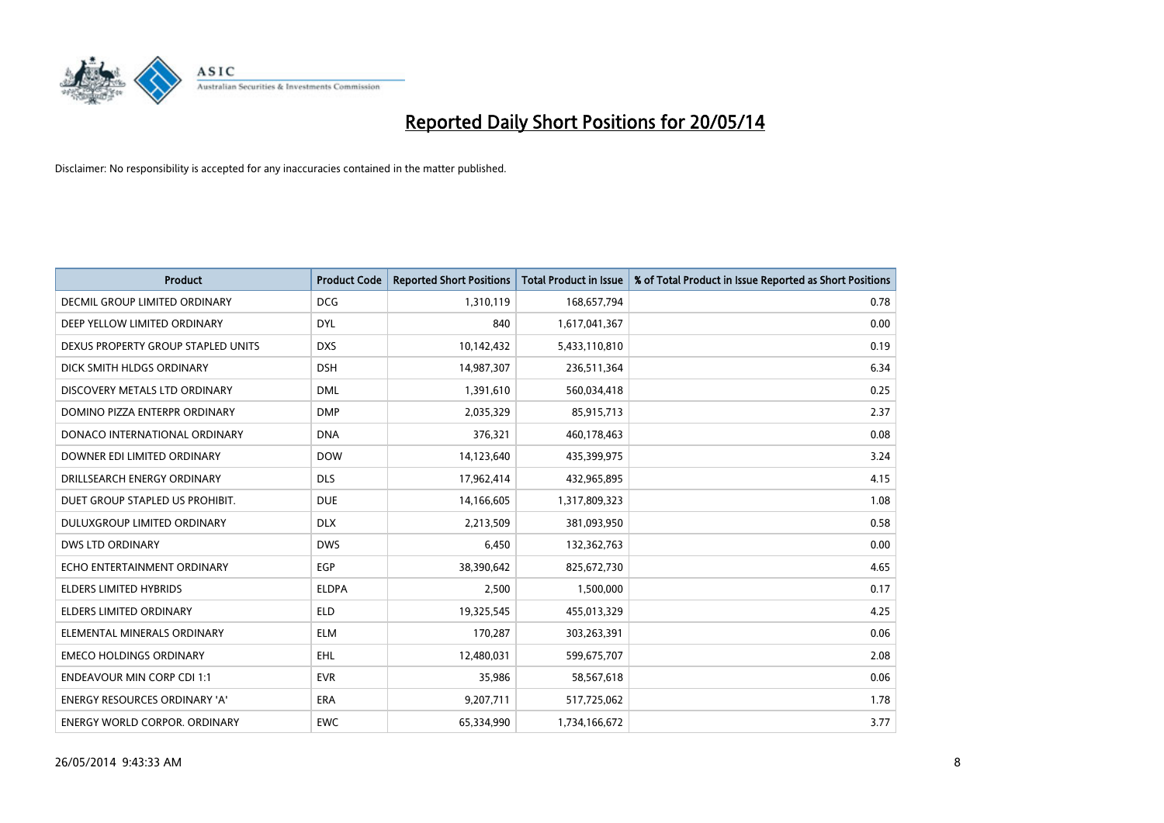

| <b>Product</b>                       | <b>Product Code</b> | <b>Reported Short Positions</b> | <b>Total Product in Issue</b> | % of Total Product in Issue Reported as Short Positions |
|--------------------------------------|---------------------|---------------------------------|-------------------------------|---------------------------------------------------------|
| DECMIL GROUP LIMITED ORDINARY        | <b>DCG</b>          | 1,310,119                       | 168,657,794                   | 0.78                                                    |
| DEEP YELLOW LIMITED ORDINARY         | <b>DYL</b>          | 840                             | 1,617,041,367                 | 0.00                                                    |
| DEXUS PROPERTY GROUP STAPLED UNITS   | <b>DXS</b>          | 10,142,432                      | 5,433,110,810                 | 0.19                                                    |
| DICK SMITH HLDGS ORDINARY            | <b>DSH</b>          | 14,987,307                      | 236,511,364                   | 6.34                                                    |
| DISCOVERY METALS LTD ORDINARY        | <b>DML</b>          | 1,391,610                       | 560,034,418                   | 0.25                                                    |
| DOMINO PIZZA ENTERPR ORDINARY        | <b>DMP</b>          | 2,035,329                       | 85,915,713                    | 2.37                                                    |
| DONACO INTERNATIONAL ORDINARY        | <b>DNA</b>          | 376,321                         | 460,178,463                   | 0.08                                                    |
| DOWNER EDI LIMITED ORDINARY          | <b>DOW</b>          | 14,123,640                      | 435,399,975                   | 3.24                                                    |
| DRILLSEARCH ENERGY ORDINARY          | <b>DLS</b>          | 17,962,414                      | 432,965,895                   | 4.15                                                    |
| DUET GROUP STAPLED US PROHIBIT.      | <b>DUE</b>          | 14,166,605                      | 1,317,809,323                 | 1.08                                                    |
| DULUXGROUP LIMITED ORDINARY          | <b>DLX</b>          | 2,213,509                       | 381,093,950                   | 0.58                                                    |
| <b>DWS LTD ORDINARY</b>              | <b>DWS</b>          | 6,450                           | 132,362,763                   | 0.00                                                    |
| ECHO ENTERTAINMENT ORDINARY          | <b>EGP</b>          | 38,390,642                      | 825,672,730                   | 4.65                                                    |
| <b>ELDERS LIMITED HYBRIDS</b>        | <b>ELDPA</b>        | 2,500                           | 1,500,000                     | 0.17                                                    |
| <b>ELDERS LIMITED ORDINARY</b>       | <b>ELD</b>          | 19,325,545                      | 455,013,329                   | 4.25                                                    |
| ELEMENTAL MINERALS ORDINARY          | <b>ELM</b>          | 170,287                         | 303,263,391                   | 0.06                                                    |
| <b>EMECO HOLDINGS ORDINARY</b>       | <b>EHL</b>          | 12,480,031                      | 599,675,707                   | 2.08                                                    |
| <b>ENDEAVOUR MIN CORP CDI 1:1</b>    | <b>EVR</b>          | 35,986                          | 58,567,618                    | 0.06                                                    |
| <b>ENERGY RESOURCES ORDINARY 'A'</b> | <b>ERA</b>          | 9,207,711                       | 517,725,062                   | 1.78                                                    |
| ENERGY WORLD CORPOR. ORDINARY        | <b>EWC</b>          | 65,334,990                      | 1,734,166,672                 | 3.77                                                    |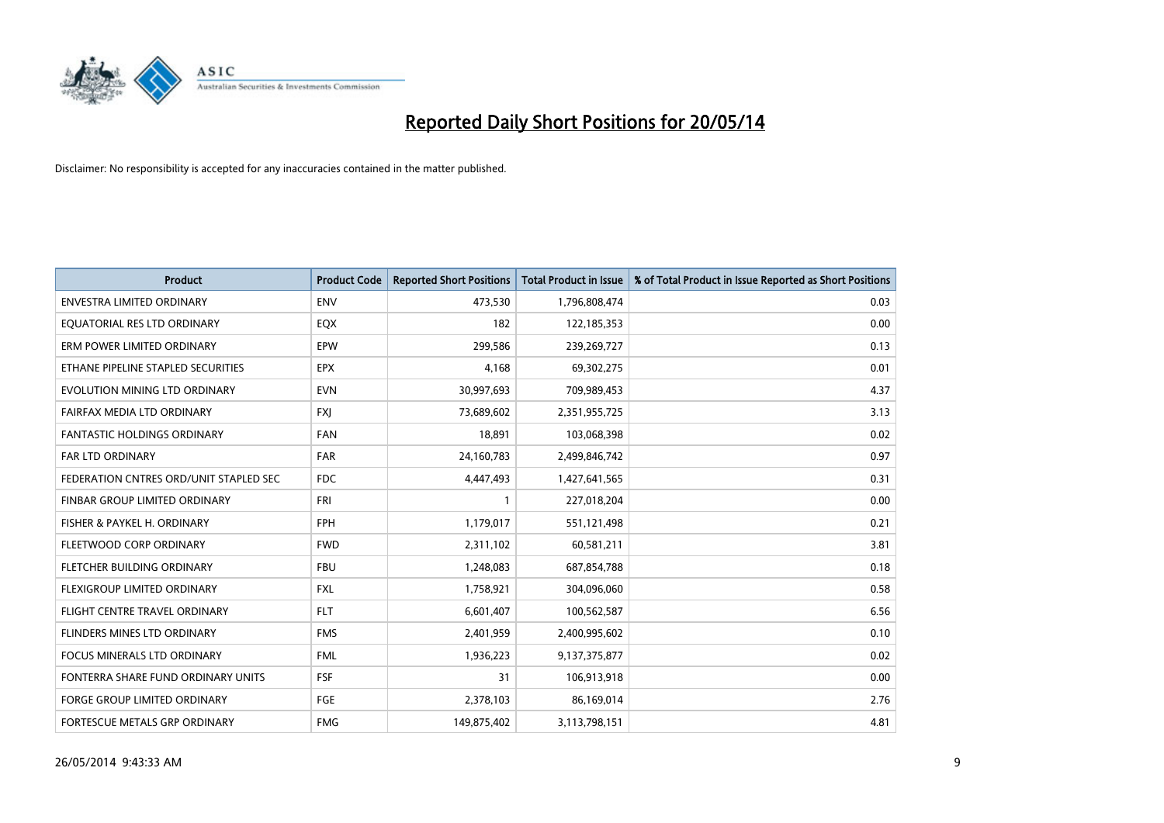

| <b>Product</b>                         | <b>Product Code</b> | <b>Reported Short Positions</b> | <b>Total Product in Issue</b> | % of Total Product in Issue Reported as Short Positions |
|----------------------------------------|---------------------|---------------------------------|-------------------------------|---------------------------------------------------------|
| <b>ENVESTRA LIMITED ORDINARY</b>       | <b>ENV</b>          | 473,530                         | 1,796,808,474                 | 0.03                                                    |
| EQUATORIAL RES LTD ORDINARY            | EQX                 | 182                             | 122,185,353                   | 0.00                                                    |
| ERM POWER LIMITED ORDINARY             | EPW                 | 299,586                         | 239,269,727                   | 0.13                                                    |
| ETHANE PIPELINE STAPLED SECURITIES     | <b>EPX</b>          | 4,168                           | 69,302,275                    | 0.01                                                    |
| EVOLUTION MINING LTD ORDINARY          | <b>EVN</b>          | 30,997,693                      | 709,989,453                   | 4.37                                                    |
| FAIRFAX MEDIA LTD ORDINARY             | <b>FXI</b>          | 73,689,602                      | 2,351,955,725                 | 3.13                                                    |
| <b>FANTASTIC HOLDINGS ORDINARY</b>     | <b>FAN</b>          | 18,891                          | 103,068,398                   | 0.02                                                    |
| FAR LTD ORDINARY                       | <b>FAR</b>          | 24,160,783                      | 2,499,846,742                 | 0.97                                                    |
| FEDERATION CNTRES ORD/UNIT STAPLED SEC | <b>FDC</b>          | 4,447,493                       | 1,427,641,565                 | 0.31                                                    |
| FINBAR GROUP LIMITED ORDINARY          | FRI                 | 1                               | 227,018,204                   | 0.00                                                    |
| FISHER & PAYKEL H. ORDINARY            | <b>FPH</b>          | 1,179,017                       | 551,121,498                   | 0.21                                                    |
| FLEETWOOD CORP ORDINARY                | <b>FWD</b>          | 2,311,102                       | 60,581,211                    | 3.81                                                    |
| FLETCHER BUILDING ORDINARY             | <b>FBU</b>          | 1,248,083                       | 687,854,788                   | 0.18                                                    |
| FLEXIGROUP LIMITED ORDINARY            | <b>FXL</b>          | 1,758,921                       | 304,096,060                   | 0.58                                                    |
| FLIGHT CENTRE TRAVEL ORDINARY          | <b>FLT</b>          | 6,601,407                       | 100,562,587                   | 6.56                                                    |
| FLINDERS MINES LTD ORDINARY            | <b>FMS</b>          | 2,401,959                       | 2,400,995,602                 | 0.10                                                    |
| FOCUS MINERALS LTD ORDINARY            | <b>FML</b>          | 1,936,223                       | 9,137,375,877                 | 0.02                                                    |
| FONTERRA SHARE FUND ORDINARY UNITS     | <b>FSF</b>          | 31                              | 106,913,918                   | 0.00                                                    |
| <b>FORGE GROUP LIMITED ORDINARY</b>    | FGE                 | 2,378,103                       | 86,169,014                    | 2.76                                                    |
| FORTESCUE METALS GRP ORDINARY          | <b>FMG</b>          | 149,875,402                     | 3,113,798,151                 | 4.81                                                    |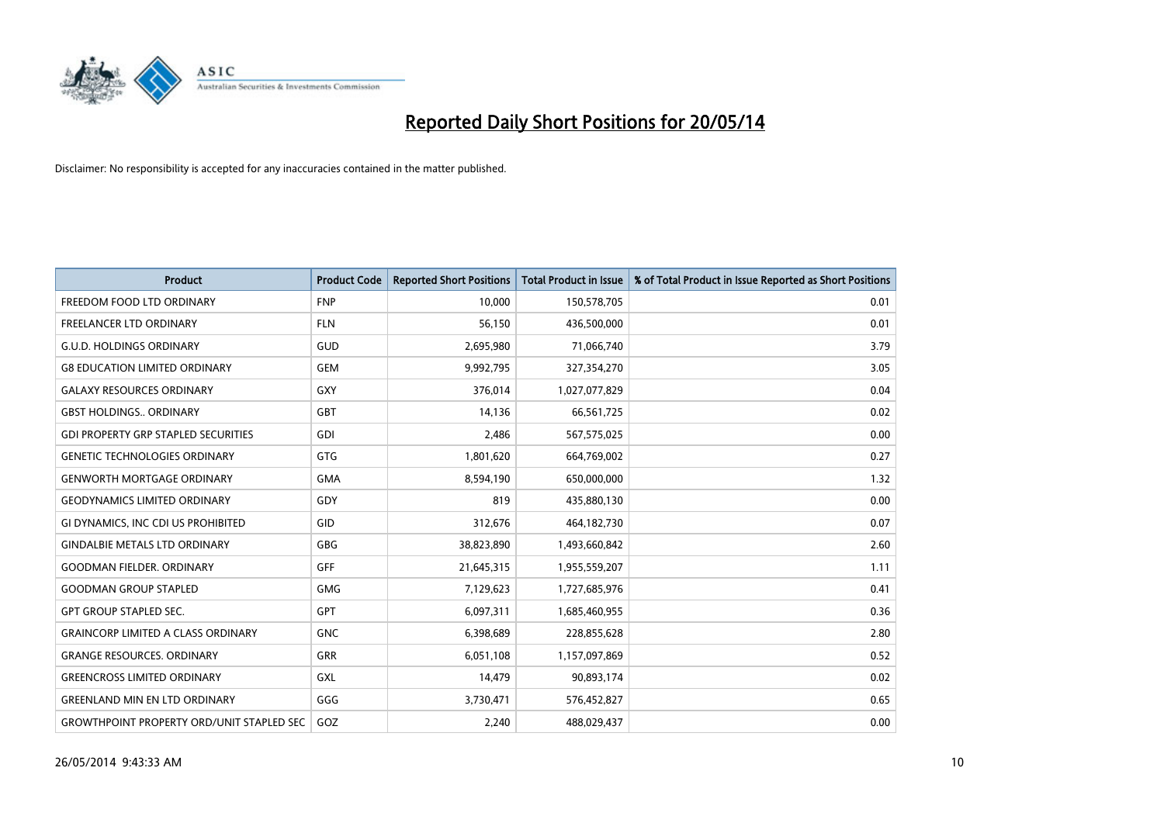

| <b>Product</b>                                   | <b>Product Code</b> | <b>Reported Short Positions</b> | <b>Total Product in Issue</b> | % of Total Product in Issue Reported as Short Positions |
|--------------------------------------------------|---------------------|---------------------------------|-------------------------------|---------------------------------------------------------|
| FREEDOM FOOD LTD ORDINARY                        | <b>FNP</b>          | 10.000                          | 150,578,705                   | 0.01                                                    |
| <b>FREELANCER LTD ORDINARY</b>                   | <b>FLN</b>          | 56,150                          | 436,500,000                   | 0.01                                                    |
| <b>G.U.D. HOLDINGS ORDINARY</b>                  | GUD                 | 2,695,980                       | 71,066,740                    | 3.79                                                    |
| <b>G8 EDUCATION LIMITED ORDINARY</b>             | <b>GEM</b>          | 9,992,795                       | 327,354,270                   | 3.05                                                    |
| <b>GALAXY RESOURCES ORDINARY</b>                 | <b>GXY</b>          | 376,014                         | 1,027,077,829                 | 0.04                                                    |
| <b>GBST HOLDINGS., ORDINARY</b>                  | <b>GBT</b>          | 14,136                          | 66,561,725                    | 0.02                                                    |
| <b>GDI PROPERTY GRP STAPLED SECURITIES</b>       | GDI                 | 2,486                           | 567,575,025                   | 0.00                                                    |
| <b>GENETIC TECHNOLOGIES ORDINARY</b>             | <b>GTG</b>          | 1,801,620                       | 664,769,002                   | 0.27                                                    |
| <b>GENWORTH MORTGAGE ORDINARY</b>                | <b>GMA</b>          | 8,594,190                       | 650,000,000                   | 1.32                                                    |
| <b>GEODYNAMICS LIMITED ORDINARY</b>              | GDY                 | 819                             | 435,880,130                   | 0.00                                                    |
| GI DYNAMICS, INC CDI US PROHIBITED               | <b>GID</b>          | 312,676                         | 464,182,730                   | 0.07                                                    |
| <b>GINDALBIE METALS LTD ORDINARY</b>             | GBG                 | 38,823,890                      | 1,493,660,842                 | 2.60                                                    |
| <b>GOODMAN FIELDER, ORDINARY</b>                 | <b>GFF</b>          | 21,645,315                      | 1,955,559,207                 | 1.11                                                    |
| <b>GOODMAN GROUP STAPLED</b>                     | <b>GMG</b>          | 7,129,623                       | 1,727,685,976                 | 0.41                                                    |
| <b>GPT GROUP STAPLED SEC.</b>                    | <b>GPT</b>          | 6,097,311                       | 1,685,460,955                 | 0.36                                                    |
| <b>GRAINCORP LIMITED A CLASS ORDINARY</b>        | <b>GNC</b>          | 6,398,689                       | 228,855,628                   | 2.80                                                    |
| <b>GRANGE RESOURCES. ORDINARY</b>                | GRR                 | 6,051,108                       | 1,157,097,869                 | 0.52                                                    |
| <b>GREENCROSS LIMITED ORDINARY</b>               | <b>GXL</b>          | 14,479                          | 90,893,174                    | 0.02                                                    |
| <b>GREENLAND MIN EN LTD ORDINARY</b>             | GGG                 | 3,730,471                       | 576,452,827                   | 0.65                                                    |
| <b>GROWTHPOINT PROPERTY ORD/UNIT STAPLED SEC</b> | GOZ                 | 2,240                           | 488,029,437                   | 0.00                                                    |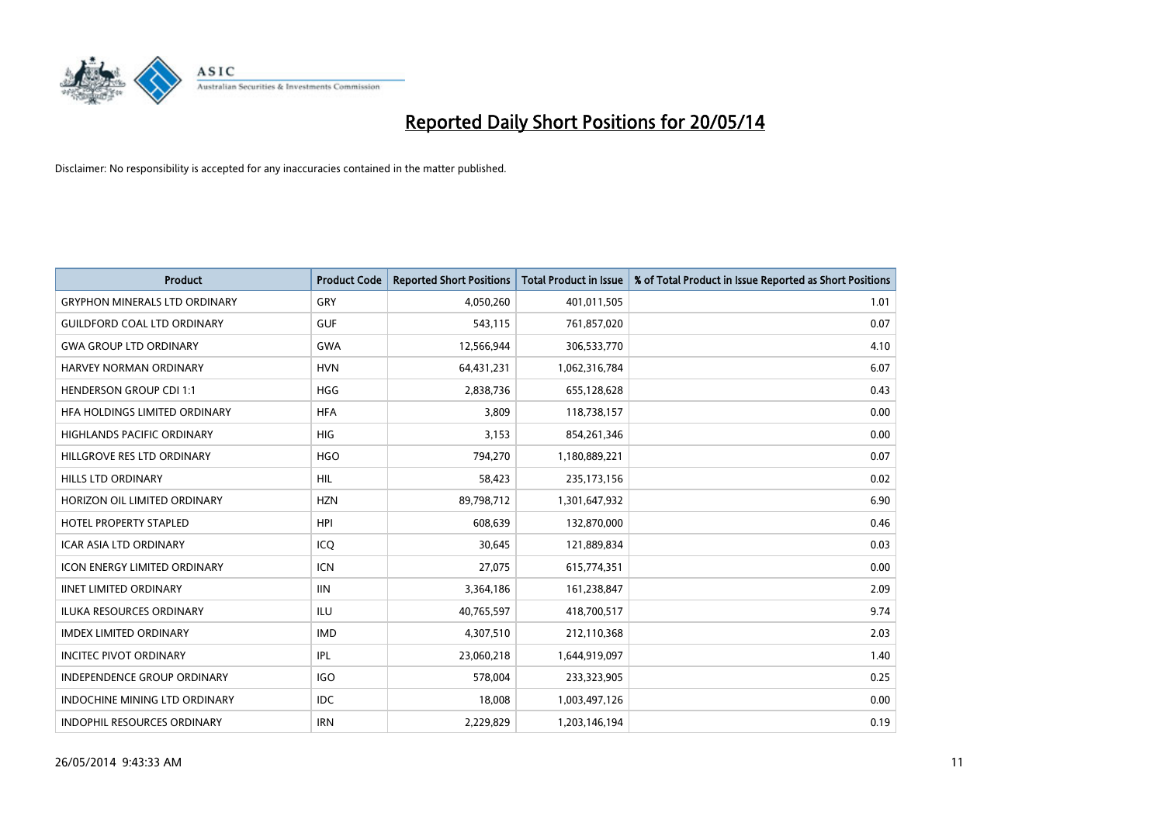

| <b>Product</b>                       | <b>Product Code</b> | <b>Reported Short Positions</b> | <b>Total Product in Issue</b> | % of Total Product in Issue Reported as Short Positions |
|--------------------------------------|---------------------|---------------------------------|-------------------------------|---------------------------------------------------------|
| <b>GRYPHON MINERALS LTD ORDINARY</b> | GRY                 | 4,050,260                       | 401,011,505                   | 1.01                                                    |
| <b>GUILDFORD COAL LTD ORDINARY</b>   | <b>GUF</b>          | 543,115                         | 761,857,020                   | 0.07                                                    |
| <b>GWA GROUP LTD ORDINARY</b>        | <b>GWA</b>          | 12,566,944                      | 306,533,770                   | 4.10                                                    |
| HARVEY NORMAN ORDINARY               | <b>HVN</b>          | 64,431,231                      | 1,062,316,784                 | 6.07                                                    |
| <b>HENDERSON GROUP CDI 1:1</b>       | <b>HGG</b>          | 2,838,736                       | 655,128,628                   | 0.43                                                    |
| HFA HOLDINGS LIMITED ORDINARY        | <b>HFA</b>          | 3,809                           | 118,738,157                   | 0.00                                                    |
| <b>HIGHLANDS PACIFIC ORDINARY</b>    | <b>HIG</b>          | 3,153                           | 854,261,346                   | 0.00                                                    |
| HILLGROVE RES LTD ORDINARY           | <b>HGO</b>          | 794,270                         | 1,180,889,221                 | 0.07                                                    |
| <b>HILLS LTD ORDINARY</b>            | <b>HIL</b>          | 58,423                          | 235, 173, 156                 | 0.02                                                    |
| HORIZON OIL LIMITED ORDINARY         | <b>HZN</b>          | 89,798,712                      | 1,301,647,932                 | 6.90                                                    |
| HOTEL PROPERTY STAPLED               | <b>HPI</b>          | 608,639                         | 132,870,000                   | 0.46                                                    |
| <b>ICAR ASIA LTD ORDINARY</b>        | ICQ                 | 30,645                          | 121,889,834                   | 0.03                                                    |
| ICON ENERGY LIMITED ORDINARY         | <b>ICN</b>          | 27,075                          | 615,774,351                   | 0.00                                                    |
| <b>IINET LIMITED ORDINARY</b>        | <b>IIN</b>          | 3,364,186                       | 161,238,847                   | 2.09                                                    |
| <b>ILUKA RESOURCES ORDINARY</b>      | <b>ILU</b>          | 40,765,597                      | 418,700,517                   | 9.74                                                    |
| <b>IMDEX LIMITED ORDINARY</b>        | <b>IMD</b>          | 4,307,510                       | 212,110,368                   | 2.03                                                    |
| <b>INCITEC PIVOT ORDINARY</b>        | IPL                 | 23,060,218                      | 1,644,919,097                 | 1.40                                                    |
| INDEPENDENCE GROUP ORDINARY          | <b>IGO</b>          | 578,004                         | 233,323,905                   | 0.25                                                    |
| <b>INDOCHINE MINING LTD ORDINARY</b> | <b>IDC</b>          | 18,008                          | 1,003,497,126                 | 0.00                                                    |
| INDOPHIL RESOURCES ORDINARY          | <b>IRN</b>          | 2,229,829                       | 1,203,146,194                 | 0.19                                                    |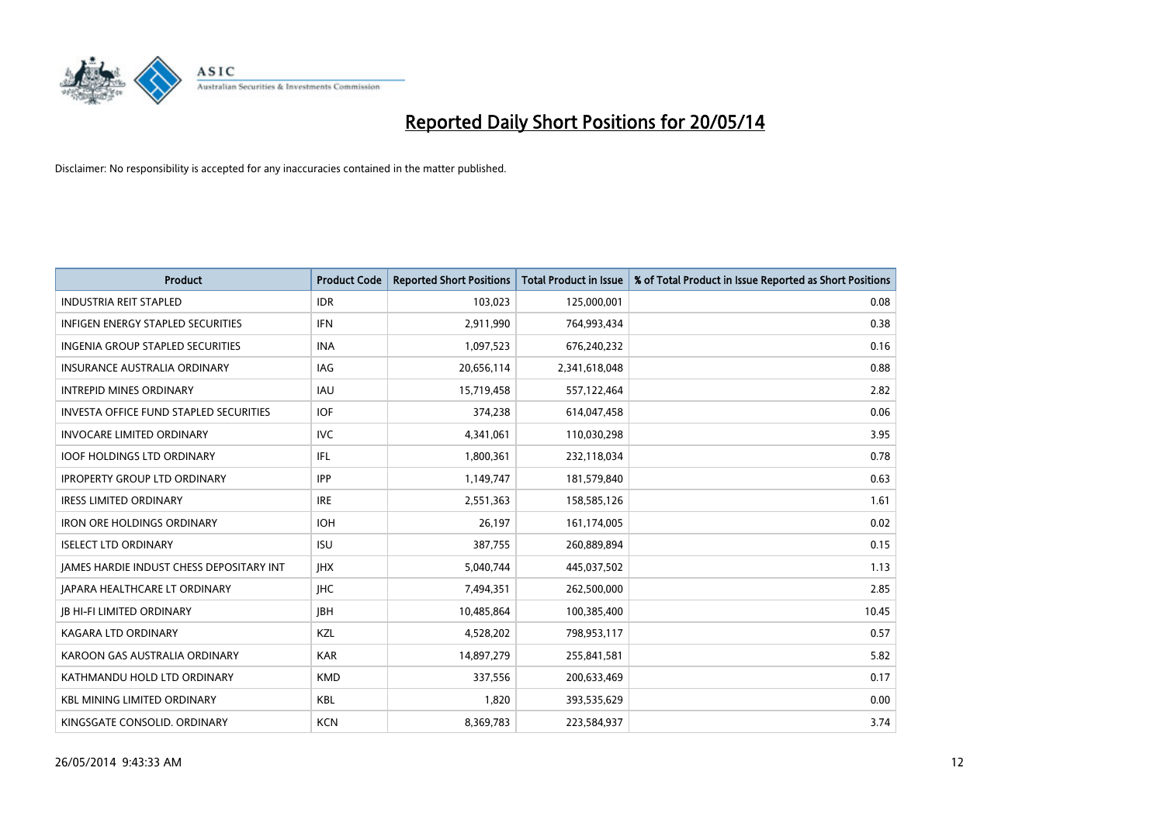

| <b>Product</b>                                | <b>Product Code</b> | <b>Reported Short Positions</b> | <b>Total Product in Issue</b> | % of Total Product in Issue Reported as Short Positions |
|-----------------------------------------------|---------------------|---------------------------------|-------------------------------|---------------------------------------------------------|
| <b>INDUSTRIA REIT STAPLED</b>                 | <b>IDR</b>          | 103,023                         | 125,000,001                   | 0.08                                                    |
| INFIGEN ENERGY STAPLED SECURITIES             | <b>IFN</b>          | 2,911,990                       | 764,993,434                   | 0.38                                                    |
| <b>INGENIA GROUP STAPLED SECURITIES</b>       | <b>INA</b>          | 1,097,523                       | 676,240,232                   | 0.16                                                    |
| <b>INSURANCE AUSTRALIA ORDINARY</b>           | IAG                 | 20,656,114                      | 2,341,618,048                 | 0.88                                                    |
| <b>INTREPID MINES ORDINARY</b>                | IAU                 | 15,719,458                      | 557,122,464                   | 2.82                                                    |
| <b>INVESTA OFFICE FUND STAPLED SECURITIES</b> | <b>IOF</b>          | 374,238                         | 614,047,458                   | 0.06                                                    |
| <b>INVOCARE LIMITED ORDINARY</b>              | <b>IVC</b>          | 4,341,061                       | 110,030,298                   | 3.95                                                    |
| <b>IOOF HOLDINGS LTD ORDINARY</b>             | <b>IFL</b>          | 1,800,361                       | 232,118,034                   | 0.78                                                    |
| <b>IPROPERTY GROUP LTD ORDINARY</b>           | <b>IPP</b>          | 1,149,747                       | 181,579,840                   | 0.63                                                    |
| <b>IRESS LIMITED ORDINARY</b>                 | <b>IRE</b>          | 2,551,363                       | 158,585,126                   | 1.61                                                    |
| <b>IRON ORE HOLDINGS ORDINARY</b>             | <b>IOH</b>          | 26,197                          | 161,174,005                   | 0.02                                                    |
| <b>ISELECT LTD ORDINARY</b>                   | <b>ISU</b>          | 387,755                         | 260,889,894                   | 0.15                                                    |
| JAMES HARDIE INDUST CHESS DEPOSITARY INT      | <b>IHX</b>          | 5,040,744                       | 445,037,502                   | 1.13                                                    |
| <b>JAPARA HEALTHCARE LT ORDINARY</b>          | <b>IHC</b>          | 7,494,351                       | 262,500,000                   | 2.85                                                    |
| <b>JB HI-FI LIMITED ORDINARY</b>              | <b>JBH</b>          | 10,485,864                      | 100,385,400                   | 10.45                                                   |
| KAGARA LTD ORDINARY                           | KZL                 | 4,528,202                       | 798,953,117                   | 0.57                                                    |
| KAROON GAS AUSTRALIA ORDINARY                 | <b>KAR</b>          | 14,897,279                      | 255,841,581                   | 5.82                                                    |
| KATHMANDU HOLD LTD ORDINARY                   | <b>KMD</b>          | 337,556                         | 200,633,469                   | 0.17                                                    |
| <b>KBL MINING LIMITED ORDINARY</b>            | <b>KBL</b>          | 1,820                           | 393,535,629                   | 0.00                                                    |
| KINGSGATE CONSOLID. ORDINARY                  | <b>KCN</b>          | 8,369,783                       | 223,584,937                   | 3.74                                                    |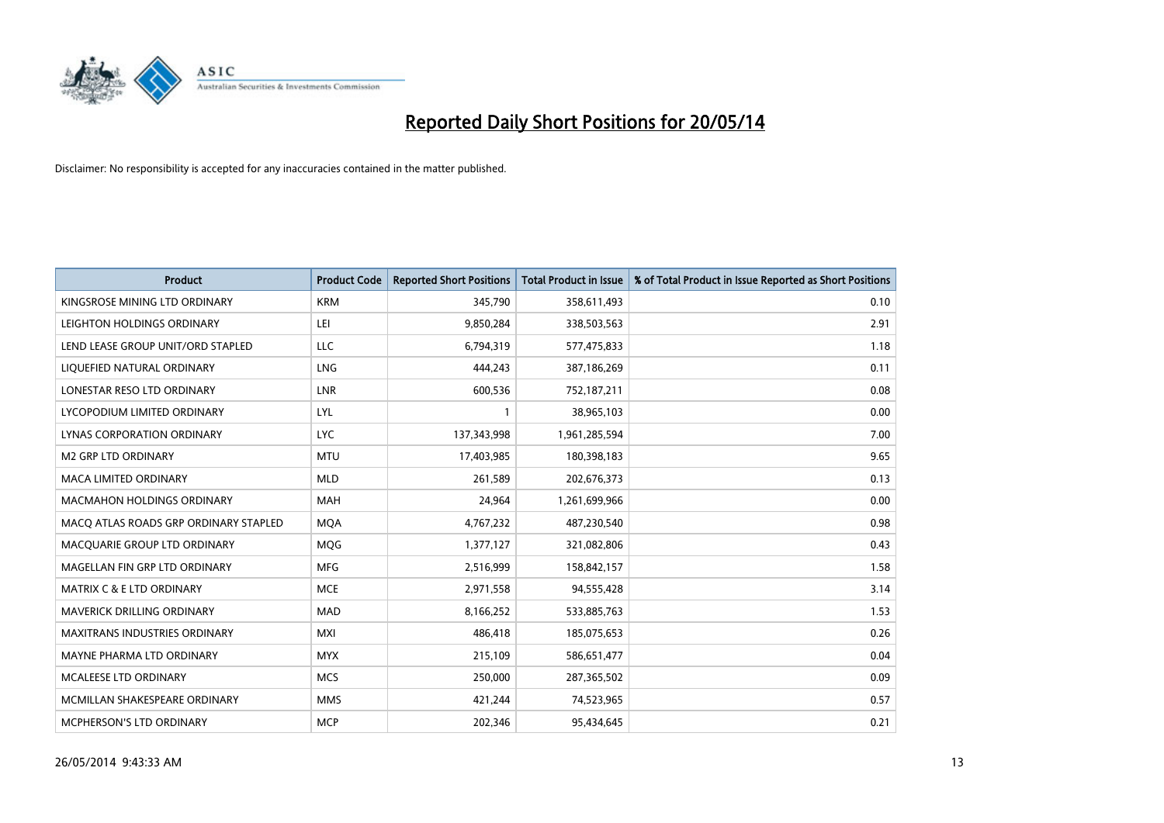

| <b>Product</b>                        | <b>Product Code</b> | <b>Reported Short Positions</b> | <b>Total Product in Issue</b> | % of Total Product in Issue Reported as Short Positions |
|---------------------------------------|---------------------|---------------------------------|-------------------------------|---------------------------------------------------------|
| KINGSROSE MINING LTD ORDINARY         | <b>KRM</b>          | 345,790                         | 358,611,493                   | 0.10                                                    |
| LEIGHTON HOLDINGS ORDINARY            | LEI                 | 9,850,284                       | 338,503,563                   | 2.91                                                    |
| LEND LEASE GROUP UNIT/ORD STAPLED     | <b>LLC</b>          | 6,794,319                       | 577,475,833                   | 1.18                                                    |
| LIQUEFIED NATURAL ORDINARY            | <b>LNG</b>          | 444,243                         | 387,186,269                   | 0.11                                                    |
| LONESTAR RESO LTD ORDINARY            | <b>LNR</b>          | 600,536                         | 752,187,211                   | 0.08                                                    |
| LYCOPODIUM LIMITED ORDINARY           | LYL                 | 1                               | 38,965,103                    | 0.00                                                    |
| LYNAS CORPORATION ORDINARY            | <b>LYC</b>          | 137,343,998                     | 1,961,285,594                 | 7.00                                                    |
| <b>M2 GRP LTD ORDINARY</b>            | <b>MTU</b>          | 17,403,985                      | 180,398,183                   | 9.65                                                    |
| MACA LIMITED ORDINARY                 | <b>MLD</b>          | 261,589                         | 202,676,373                   | 0.13                                                    |
| <b>MACMAHON HOLDINGS ORDINARY</b>     | <b>MAH</b>          | 24,964                          | 1,261,699,966                 | 0.00                                                    |
| MACQ ATLAS ROADS GRP ORDINARY STAPLED | <b>MQA</b>          | 4,767,232                       | 487,230,540                   | 0.98                                                    |
| MACQUARIE GROUP LTD ORDINARY          | MQG                 | 1,377,127                       | 321,082,806                   | 0.43                                                    |
| MAGELLAN FIN GRP LTD ORDINARY         | <b>MFG</b>          | 2,516,999                       | 158,842,157                   | 1.58                                                    |
| <b>MATRIX C &amp; E LTD ORDINARY</b>  | <b>MCE</b>          | 2,971,558                       | 94,555,428                    | 3.14                                                    |
| MAVERICK DRILLING ORDINARY            | <b>MAD</b>          | 8,166,252                       | 533,885,763                   | 1.53                                                    |
| MAXITRANS INDUSTRIES ORDINARY         | <b>MXI</b>          | 486,418                         | 185,075,653                   | 0.26                                                    |
| MAYNE PHARMA LTD ORDINARY             | <b>MYX</b>          | 215,109                         | 586,651,477                   | 0.04                                                    |
| MCALEESE LTD ORDINARY                 | <b>MCS</b>          | 250,000                         | 287,365,502                   | 0.09                                                    |
| MCMILLAN SHAKESPEARE ORDINARY         | <b>MMS</b>          | 421,244                         | 74,523,965                    | 0.57                                                    |
| MCPHERSON'S LTD ORDINARY              | <b>MCP</b>          | 202,346                         | 95,434,645                    | 0.21                                                    |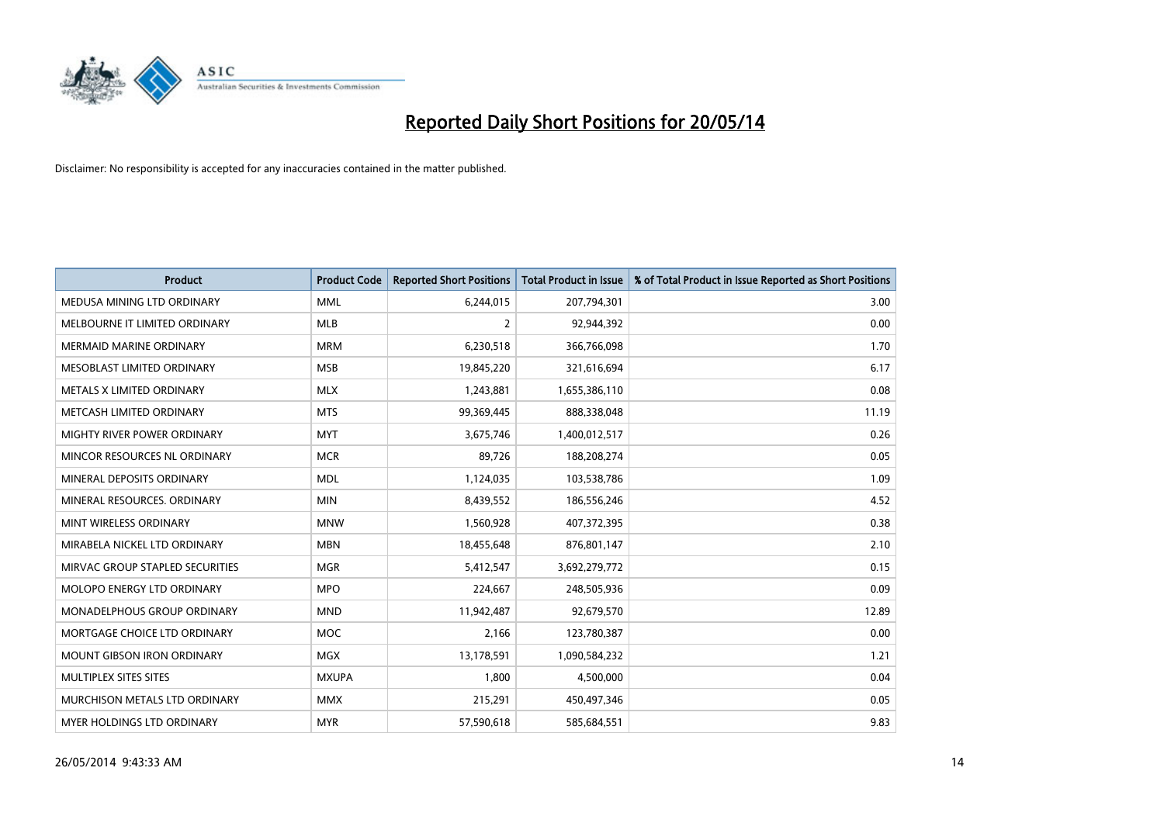

| <b>Product</b>                    | <b>Product Code</b> | <b>Reported Short Positions</b> | <b>Total Product in Issue</b> | % of Total Product in Issue Reported as Short Positions |
|-----------------------------------|---------------------|---------------------------------|-------------------------------|---------------------------------------------------------|
| MEDUSA MINING LTD ORDINARY        | <b>MML</b>          | 6,244,015                       | 207,794,301                   | 3.00                                                    |
| MELBOURNE IT LIMITED ORDINARY     | <b>MLB</b>          | $\overline{2}$                  | 92,944,392                    | 0.00                                                    |
| <b>MERMAID MARINE ORDINARY</b>    | <b>MRM</b>          | 6,230,518                       | 366,766,098                   | 1.70                                                    |
| MESOBLAST LIMITED ORDINARY        | <b>MSB</b>          | 19,845,220                      | 321,616,694                   | 6.17                                                    |
| METALS X LIMITED ORDINARY         | <b>MLX</b>          | 1,243,881                       | 1,655,386,110                 | 0.08                                                    |
| METCASH LIMITED ORDINARY          | <b>MTS</b>          | 99,369,445                      | 888,338,048                   | 11.19                                                   |
| MIGHTY RIVER POWER ORDINARY       | <b>MYT</b>          | 3,675,746                       | 1,400,012,517                 | 0.26                                                    |
| MINCOR RESOURCES NL ORDINARY      | <b>MCR</b>          | 89,726                          | 188,208,274                   | 0.05                                                    |
| MINERAL DEPOSITS ORDINARY         | <b>MDL</b>          | 1,124,035                       | 103,538,786                   | 1.09                                                    |
| MINERAL RESOURCES, ORDINARY       | <b>MIN</b>          | 8,439,552                       | 186,556,246                   | 4.52                                                    |
| MINT WIRELESS ORDINARY            | <b>MNW</b>          | 1,560,928                       | 407,372,395                   | 0.38                                                    |
| MIRABELA NICKEL LTD ORDINARY      | <b>MBN</b>          | 18,455,648                      | 876,801,147                   | 2.10                                                    |
| MIRVAC GROUP STAPLED SECURITIES   | <b>MGR</b>          | 5,412,547                       | 3,692,279,772                 | 0.15                                                    |
| <b>MOLOPO ENERGY LTD ORDINARY</b> | <b>MPO</b>          | 224,667                         | 248,505,936                   | 0.09                                                    |
| MONADELPHOUS GROUP ORDINARY       | <b>MND</b>          | 11,942,487                      | 92,679,570                    | 12.89                                                   |
| MORTGAGE CHOICE LTD ORDINARY      | MOC                 | 2,166                           | 123,780,387                   | 0.00                                                    |
| MOUNT GIBSON IRON ORDINARY        | MGX                 | 13,178,591                      | 1,090,584,232                 | 1.21                                                    |
| MULTIPLEX SITES SITES             | <b>MXUPA</b>        | 1,800                           | 4,500,000                     | 0.04                                                    |
| MURCHISON METALS LTD ORDINARY     | <b>MMX</b>          | 215,291                         | 450,497,346                   | 0.05                                                    |
| MYER HOLDINGS LTD ORDINARY        | <b>MYR</b>          | 57,590,618                      | 585,684,551                   | 9.83                                                    |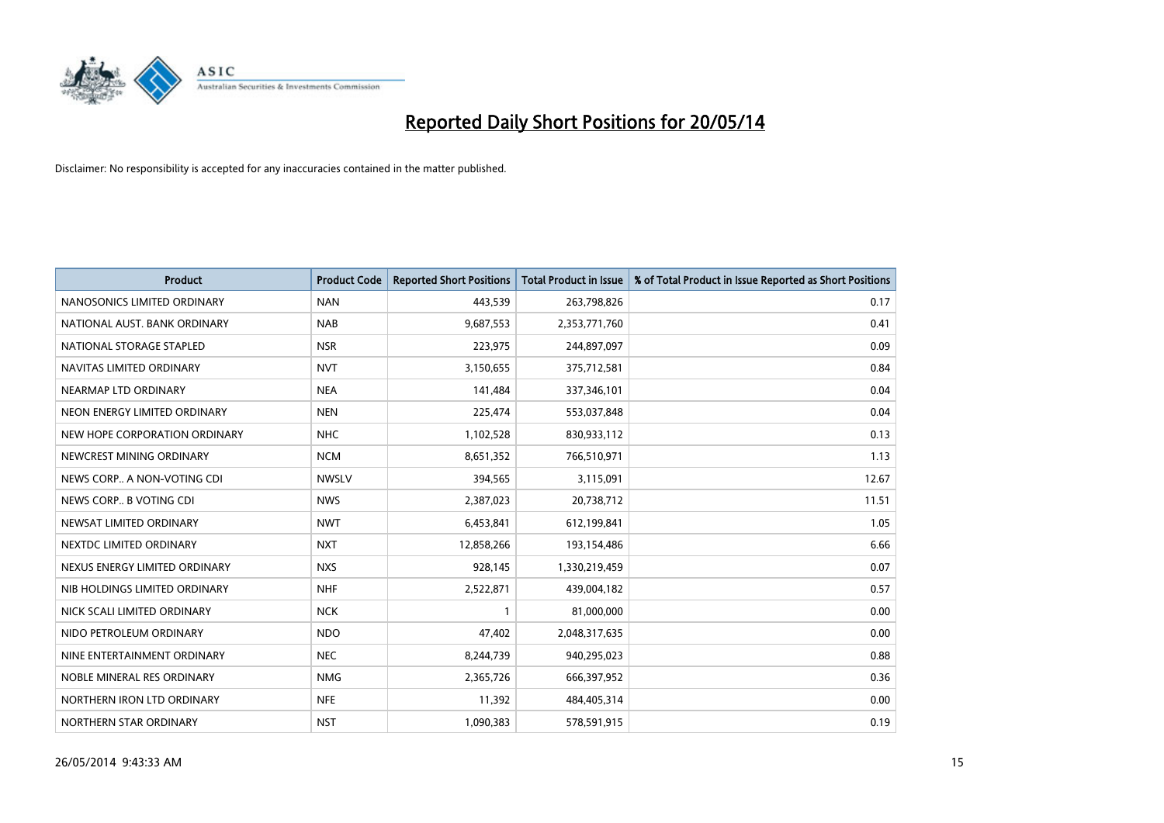

| <b>Product</b>                | <b>Product Code</b> | <b>Reported Short Positions</b> | <b>Total Product in Issue</b> | % of Total Product in Issue Reported as Short Positions |
|-------------------------------|---------------------|---------------------------------|-------------------------------|---------------------------------------------------------|
| NANOSONICS LIMITED ORDINARY   | <b>NAN</b>          | 443,539                         | 263,798,826                   | 0.17                                                    |
| NATIONAL AUST, BANK ORDINARY  | <b>NAB</b>          | 9,687,553                       | 2,353,771,760                 | 0.41                                                    |
| NATIONAL STORAGE STAPLED      | <b>NSR</b>          | 223,975                         | 244,897,097                   | 0.09                                                    |
| NAVITAS LIMITED ORDINARY      | <b>NVT</b>          | 3,150,655                       | 375,712,581                   | 0.84                                                    |
| NEARMAP LTD ORDINARY          | <b>NEA</b>          | 141,484                         | 337,346,101                   | 0.04                                                    |
| NEON ENERGY LIMITED ORDINARY  | <b>NEN</b>          | 225,474                         | 553,037,848                   | 0.04                                                    |
| NEW HOPE CORPORATION ORDINARY | <b>NHC</b>          | 1,102,528                       | 830,933,112                   | 0.13                                                    |
| NEWCREST MINING ORDINARY      | <b>NCM</b>          | 8,651,352                       | 766,510,971                   | 1.13                                                    |
| NEWS CORP A NON-VOTING CDI    | <b>NWSLV</b>        | 394,565                         | 3,115,091                     | 12.67                                                   |
| NEWS CORP B VOTING CDI        | <b>NWS</b>          | 2,387,023                       | 20,738,712                    | 11.51                                                   |
| NEWSAT LIMITED ORDINARY       | <b>NWT</b>          | 6,453,841                       | 612,199,841                   | 1.05                                                    |
| NEXTDC LIMITED ORDINARY       | <b>NXT</b>          | 12,858,266                      | 193,154,486                   | 6.66                                                    |
| NEXUS ENERGY LIMITED ORDINARY | <b>NXS</b>          | 928,145                         | 1,330,219,459                 | 0.07                                                    |
| NIB HOLDINGS LIMITED ORDINARY | <b>NHF</b>          | 2,522,871                       | 439,004,182                   | 0.57                                                    |
| NICK SCALI LIMITED ORDINARY   | <b>NCK</b>          | $\mathbf{1}$                    | 81,000,000                    | 0.00                                                    |
| NIDO PETROLEUM ORDINARY       | <b>NDO</b>          | 47,402                          | 2,048,317,635                 | 0.00                                                    |
| NINE ENTERTAINMENT ORDINARY   | <b>NEC</b>          | 8,244,739                       | 940,295,023                   | 0.88                                                    |
| NOBLE MINERAL RES ORDINARY    | <b>NMG</b>          | 2,365,726                       | 666,397,952                   | 0.36                                                    |
| NORTHERN IRON LTD ORDINARY    | <b>NFE</b>          | 11,392                          | 484,405,314                   | 0.00                                                    |
| NORTHERN STAR ORDINARY        | <b>NST</b>          | 1,090,383                       | 578,591,915                   | 0.19                                                    |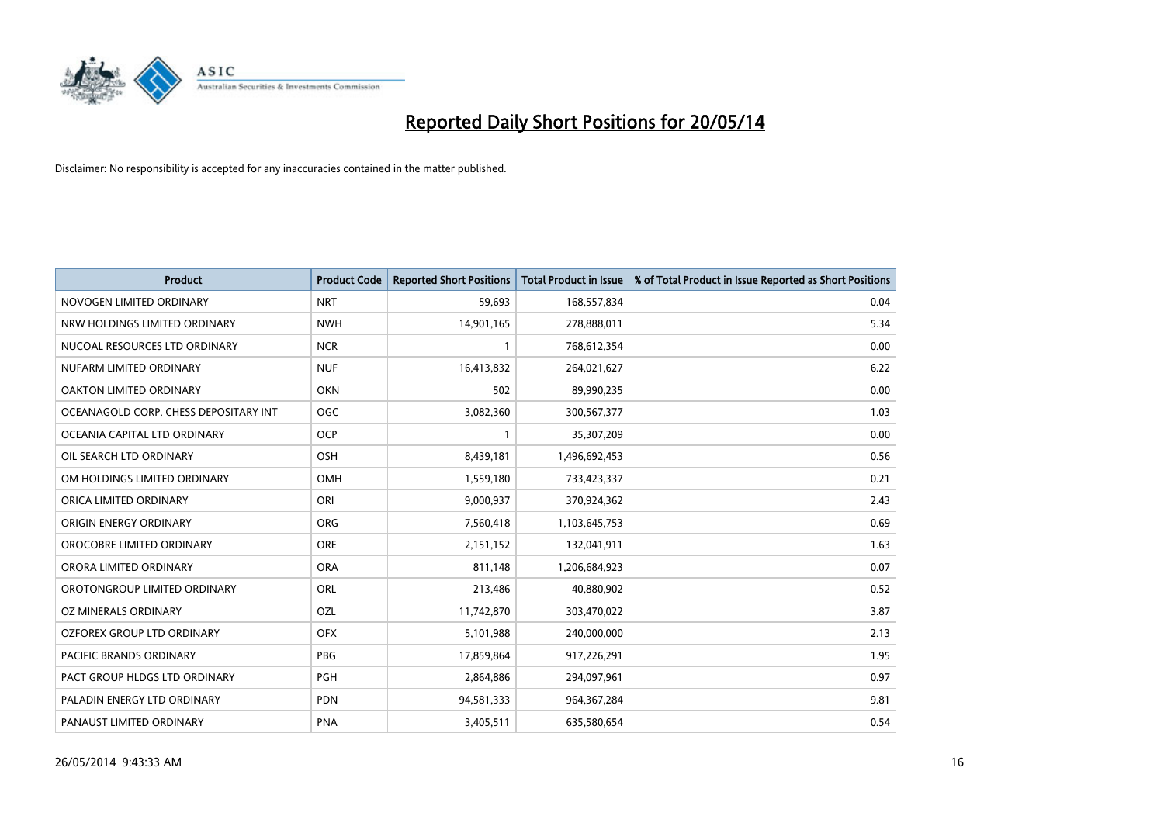

| <b>Product</b>                        | <b>Product Code</b> | <b>Reported Short Positions</b> | <b>Total Product in Issue</b> | % of Total Product in Issue Reported as Short Positions |
|---------------------------------------|---------------------|---------------------------------|-------------------------------|---------------------------------------------------------|
| NOVOGEN LIMITED ORDINARY              | <b>NRT</b>          | 59,693                          | 168,557,834                   | 0.04                                                    |
| NRW HOLDINGS LIMITED ORDINARY         | <b>NWH</b>          | 14,901,165                      | 278,888,011                   | 5.34                                                    |
| NUCOAL RESOURCES LTD ORDINARY         | <b>NCR</b>          | $\mathbf{1}$                    | 768,612,354                   | 0.00                                                    |
| NUFARM LIMITED ORDINARY               | <b>NUF</b>          | 16,413,832                      | 264,021,627                   | 6.22                                                    |
| OAKTON LIMITED ORDINARY               | <b>OKN</b>          | 502                             | 89,990,235                    | 0.00                                                    |
| OCEANAGOLD CORP. CHESS DEPOSITARY INT | <b>OGC</b>          | 3,082,360                       | 300,567,377                   | 1.03                                                    |
| OCEANIA CAPITAL LTD ORDINARY          | <b>OCP</b>          | $\mathbf{1}$                    | 35,307,209                    | 0.00                                                    |
| OIL SEARCH LTD ORDINARY               | OSH                 | 8,439,181                       | 1,496,692,453                 | 0.56                                                    |
| OM HOLDINGS LIMITED ORDINARY          | OMH                 | 1,559,180                       | 733,423,337                   | 0.21                                                    |
| ORICA LIMITED ORDINARY                | ORI                 | 9,000,937                       | 370,924,362                   | 2.43                                                    |
| ORIGIN ENERGY ORDINARY                | <b>ORG</b>          | 7,560,418                       | 1,103,645,753                 | 0.69                                                    |
| OROCOBRE LIMITED ORDINARY             | <b>ORE</b>          | 2,151,152                       | 132,041,911                   | 1.63                                                    |
| ORORA LIMITED ORDINARY                | <b>ORA</b>          | 811,148                         | 1,206,684,923                 | 0.07                                                    |
| OROTONGROUP LIMITED ORDINARY          | ORL                 | 213,486                         | 40,880,902                    | 0.52                                                    |
| <b>OZ MINERALS ORDINARY</b>           | <b>OZL</b>          | 11,742,870                      | 303,470,022                   | 3.87                                                    |
| OZFOREX GROUP LTD ORDINARY            | <b>OFX</b>          | 5,101,988                       | 240,000,000                   | 2.13                                                    |
| PACIFIC BRANDS ORDINARY               | PBG                 | 17,859,864                      | 917,226,291                   | 1.95                                                    |
| PACT GROUP HLDGS LTD ORDINARY         | <b>PGH</b>          | 2,864,886                       | 294,097,961                   | 0.97                                                    |
| PALADIN ENERGY LTD ORDINARY           | <b>PDN</b>          | 94,581,333                      | 964, 367, 284                 | 9.81                                                    |
| PANAUST LIMITED ORDINARY              | <b>PNA</b>          | 3,405,511                       | 635,580,654                   | 0.54                                                    |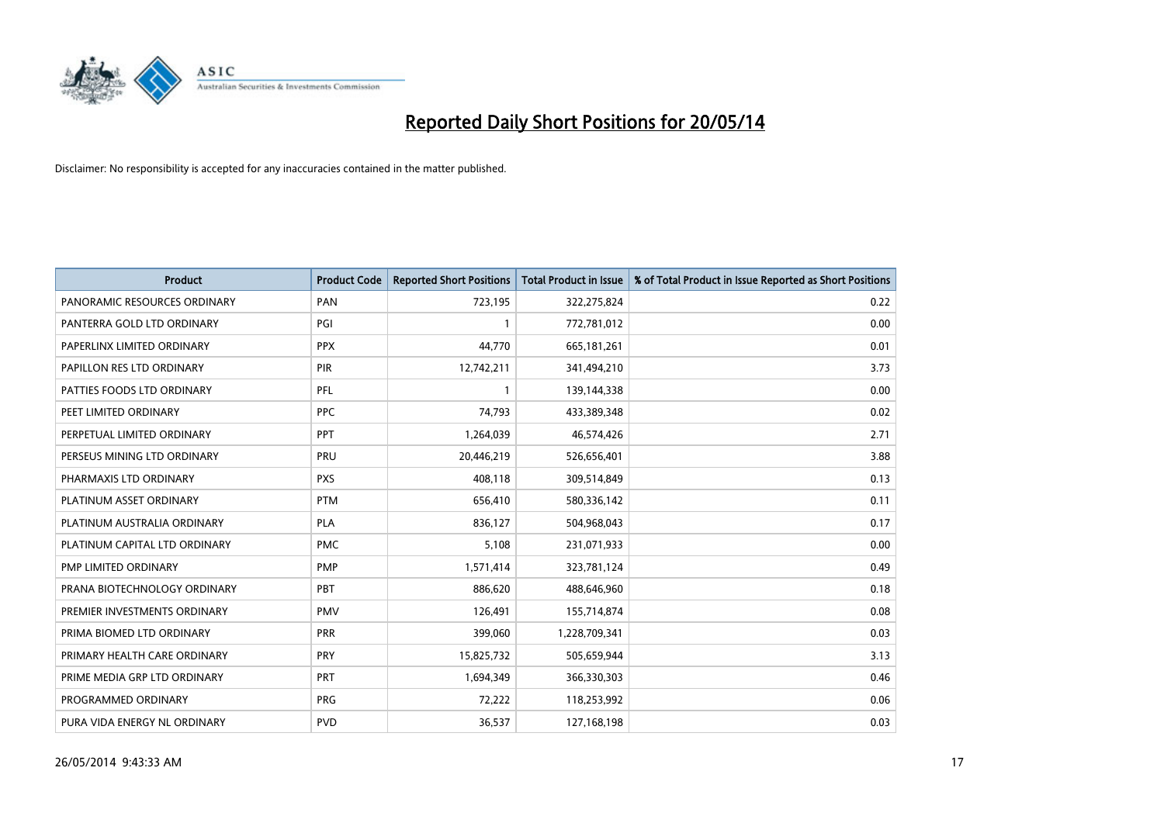

| <b>Product</b>                | <b>Product Code</b> | <b>Reported Short Positions</b> | <b>Total Product in Issue</b> | % of Total Product in Issue Reported as Short Positions |
|-------------------------------|---------------------|---------------------------------|-------------------------------|---------------------------------------------------------|
| PANORAMIC RESOURCES ORDINARY  | PAN                 | 723,195                         | 322,275,824                   | 0.22                                                    |
| PANTERRA GOLD LTD ORDINARY    | PGI                 |                                 | 772,781,012                   | 0.00                                                    |
| PAPERLINX LIMITED ORDINARY    | <b>PPX</b>          | 44,770                          | 665,181,261                   | 0.01                                                    |
| PAPILLON RES LTD ORDINARY     | <b>PIR</b>          | 12,742,211                      | 341,494,210                   | 3.73                                                    |
| PATTIES FOODS LTD ORDINARY    | PFL                 | $\mathbf{1}$                    | 139,144,338                   | 0.00                                                    |
| PEET LIMITED ORDINARY         | <b>PPC</b>          | 74,793                          | 433,389,348                   | 0.02                                                    |
| PERPETUAL LIMITED ORDINARY    | PPT                 | 1,264,039                       | 46,574,426                    | 2.71                                                    |
| PERSEUS MINING LTD ORDINARY   | PRU                 | 20,446,219                      | 526,656,401                   | 3.88                                                    |
| PHARMAXIS LTD ORDINARY        | <b>PXS</b>          | 408,118                         | 309,514,849                   | 0.13                                                    |
| PLATINUM ASSET ORDINARY       | <b>PTM</b>          | 656,410                         | 580,336,142                   | 0.11                                                    |
| PLATINUM AUSTRALIA ORDINARY   | <b>PLA</b>          | 836,127                         | 504,968,043                   | 0.17                                                    |
| PLATINUM CAPITAL LTD ORDINARY | <b>PMC</b>          | 5,108                           | 231,071,933                   | 0.00                                                    |
| PMP LIMITED ORDINARY          | <b>PMP</b>          | 1,571,414                       | 323,781,124                   | 0.49                                                    |
| PRANA BIOTECHNOLOGY ORDINARY  | PBT                 | 886,620                         | 488,646,960                   | 0.18                                                    |
| PREMIER INVESTMENTS ORDINARY  | <b>PMV</b>          | 126,491                         | 155,714,874                   | 0.08                                                    |
| PRIMA BIOMED LTD ORDINARY     | <b>PRR</b>          | 399,060                         | 1,228,709,341                 | 0.03                                                    |
| PRIMARY HEALTH CARE ORDINARY  | <b>PRY</b>          | 15,825,732                      | 505,659,944                   | 3.13                                                    |
| PRIME MEDIA GRP LTD ORDINARY  | PRT                 | 1,694,349                       | 366,330,303                   | 0.46                                                    |
| PROGRAMMED ORDINARY           | <b>PRG</b>          | 72,222                          | 118,253,992                   | 0.06                                                    |
| PURA VIDA ENERGY NL ORDINARY  | <b>PVD</b>          | 36,537                          | 127,168,198                   | 0.03                                                    |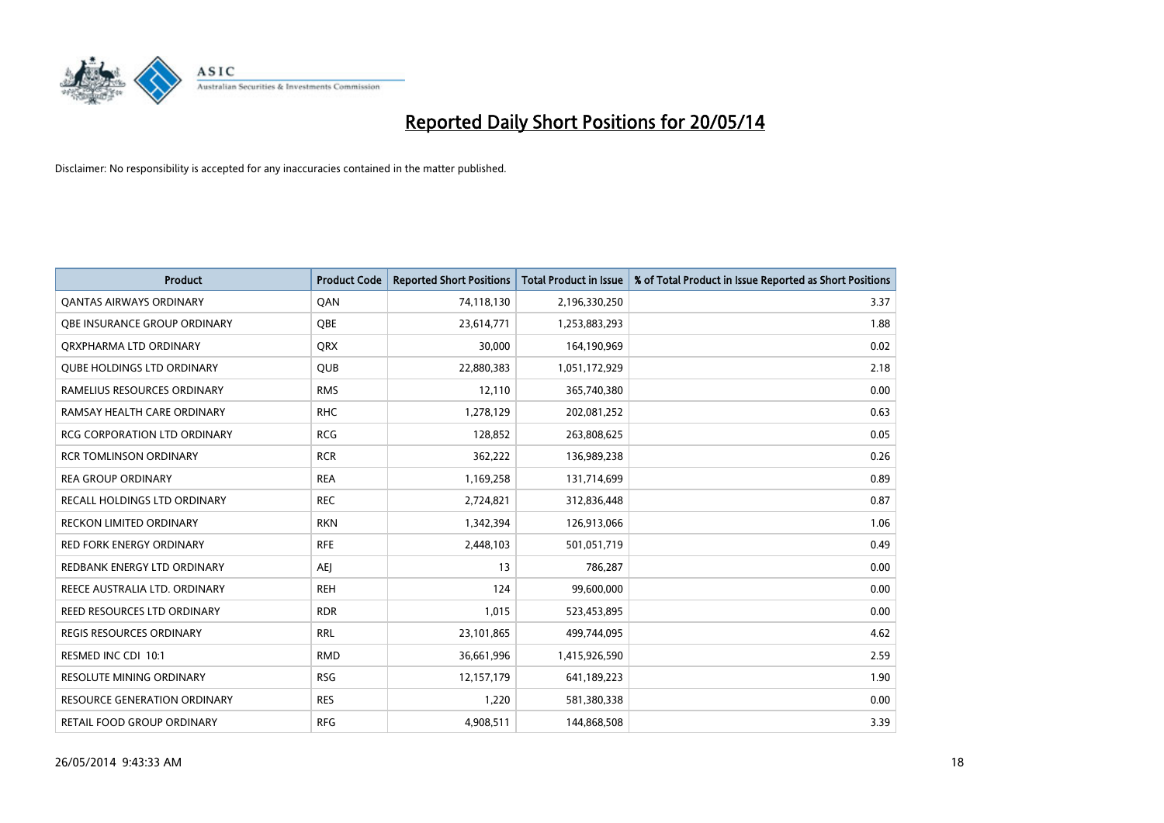

| <b>Product</b>                      | <b>Product Code</b> | <b>Reported Short Positions</b> | <b>Total Product in Issue</b> | % of Total Product in Issue Reported as Short Positions |
|-------------------------------------|---------------------|---------------------------------|-------------------------------|---------------------------------------------------------|
| <b>QANTAS AIRWAYS ORDINARY</b>      | QAN                 | 74,118,130                      | 2,196,330,250                 | 3.37                                                    |
| OBE INSURANCE GROUP ORDINARY        | QBE                 | 23,614,771                      | 1,253,883,293                 | 1.88                                                    |
| ORXPHARMA LTD ORDINARY              | <b>QRX</b>          | 30,000                          | 164,190,969                   | 0.02                                                    |
| <b>QUBE HOLDINGS LTD ORDINARY</b>   | <b>QUB</b>          | 22,880,383                      | 1,051,172,929                 | 2.18                                                    |
| RAMELIUS RESOURCES ORDINARY         | <b>RMS</b>          | 12,110                          | 365,740,380                   | 0.00                                                    |
| RAMSAY HEALTH CARE ORDINARY         | <b>RHC</b>          | 1,278,129                       | 202,081,252                   | 0.63                                                    |
| <b>RCG CORPORATION LTD ORDINARY</b> | <b>RCG</b>          | 128,852                         | 263,808,625                   | 0.05                                                    |
| <b>RCR TOMLINSON ORDINARY</b>       | <b>RCR</b>          | 362,222                         | 136,989,238                   | 0.26                                                    |
| <b>REA GROUP ORDINARY</b>           | <b>REA</b>          | 1,169,258                       | 131,714,699                   | 0.89                                                    |
| RECALL HOLDINGS LTD ORDINARY        | <b>REC</b>          | 2,724,821                       | 312,836,448                   | 0.87                                                    |
| RECKON LIMITED ORDINARY             | <b>RKN</b>          | 1,342,394                       | 126,913,066                   | 1.06                                                    |
| <b>RED FORK ENERGY ORDINARY</b>     | <b>RFE</b>          | 2,448,103                       | 501,051,719                   | 0.49                                                    |
| REDBANK ENERGY LTD ORDINARY         | AEJ                 | 13                              | 786,287                       | 0.00                                                    |
| REECE AUSTRALIA LTD. ORDINARY       | <b>REH</b>          | 124                             | 99,600,000                    | 0.00                                                    |
| REED RESOURCES LTD ORDINARY         | <b>RDR</b>          | 1,015                           | 523,453,895                   | 0.00                                                    |
| <b>REGIS RESOURCES ORDINARY</b>     | <b>RRL</b>          | 23,101,865                      | 499,744,095                   | 4.62                                                    |
| RESMED INC CDI 10:1                 | <b>RMD</b>          | 36,661,996                      | 1,415,926,590                 | 2.59                                                    |
| <b>RESOLUTE MINING ORDINARY</b>     | <b>RSG</b>          | 12,157,179                      | 641,189,223                   | 1.90                                                    |
| <b>RESOURCE GENERATION ORDINARY</b> | <b>RES</b>          | 1,220                           | 581,380,338                   | 0.00                                                    |
| RETAIL FOOD GROUP ORDINARY          | <b>RFG</b>          | 4,908,511                       | 144,868,508                   | 3.39                                                    |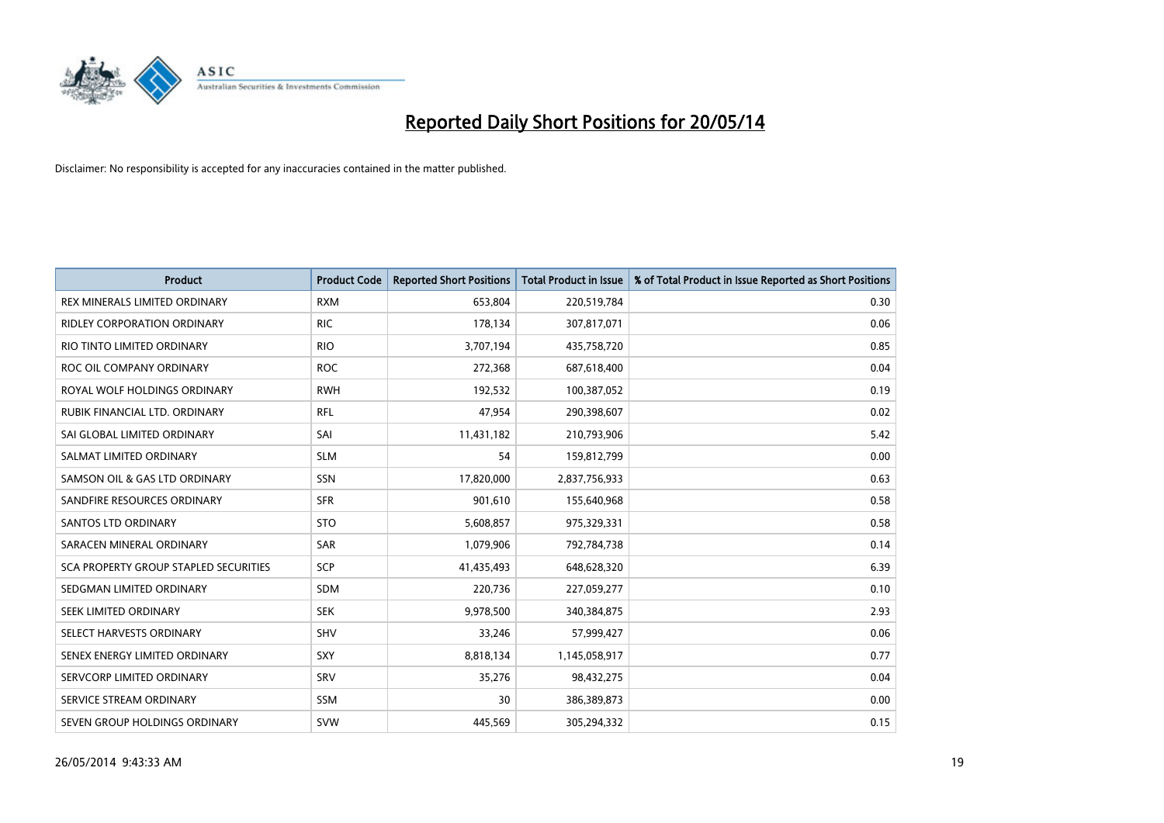

| <b>Product</b>                        | <b>Product Code</b> | <b>Reported Short Positions</b> | <b>Total Product in Issue</b> | % of Total Product in Issue Reported as Short Positions |
|---------------------------------------|---------------------|---------------------------------|-------------------------------|---------------------------------------------------------|
| REX MINERALS LIMITED ORDINARY         | <b>RXM</b>          | 653,804                         | 220,519,784                   | 0.30                                                    |
| RIDLEY CORPORATION ORDINARY           | <b>RIC</b>          | 178,134                         | 307,817,071                   | 0.06                                                    |
| RIO TINTO LIMITED ORDINARY            | <b>RIO</b>          | 3,707,194                       | 435,758,720                   | 0.85                                                    |
| ROC OIL COMPANY ORDINARY              | <b>ROC</b>          | 272,368                         | 687,618,400                   | 0.04                                                    |
| ROYAL WOLF HOLDINGS ORDINARY          | <b>RWH</b>          | 192,532                         | 100,387,052                   | 0.19                                                    |
| RUBIK FINANCIAL LTD, ORDINARY         | <b>RFL</b>          | 47,954                          | 290,398,607                   | 0.02                                                    |
| SAI GLOBAL LIMITED ORDINARY           | SAI                 | 11,431,182                      | 210,793,906                   | 5.42                                                    |
| SALMAT LIMITED ORDINARY               | <b>SLM</b>          | 54                              | 159,812,799                   | 0.00                                                    |
| SAMSON OIL & GAS LTD ORDINARY         | SSN                 | 17,820,000                      | 2,837,756,933                 | 0.63                                                    |
| SANDFIRE RESOURCES ORDINARY           | <b>SFR</b>          | 901,610                         | 155,640,968                   | 0.58                                                    |
| <b>SANTOS LTD ORDINARY</b>            | <b>STO</b>          | 5,608,857                       | 975,329,331                   | 0.58                                                    |
| SARACEN MINERAL ORDINARY              | SAR                 | 1,079,906                       | 792,784,738                   | 0.14                                                    |
| SCA PROPERTY GROUP STAPLED SECURITIES | <b>SCP</b>          | 41,435,493                      | 648,628,320                   | 6.39                                                    |
| SEDGMAN LIMITED ORDINARY              | SDM                 | 220,736                         | 227,059,277                   | 0.10                                                    |
| SEEK LIMITED ORDINARY                 | <b>SEK</b>          | 9,978,500                       | 340,384,875                   | 2.93                                                    |
| SELECT HARVESTS ORDINARY              | SHV                 | 33,246                          | 57,999,427                    | 0.06                                                    |
| SENEX ENERGY LIMITED ORDINARY         | SXY                 | 8,818,134                       | 1,145,058,917                 | 0.77                                                    |
| SERVCORP LIMITED ORDINARY             | SRV                 | 35,276                          | 98,432,275                    | 0.04                                                    |
| SERVICE STREAM ORDINARY               | <b>SSM</b>          | 30                              | 386,389,873                   | 0.00                                                    |
| SEVEN GROUP HOLDINGS ORDINARY         | <b>SVW</b>          | 445,569                         | 305,294,332                   | 0.15                                                    |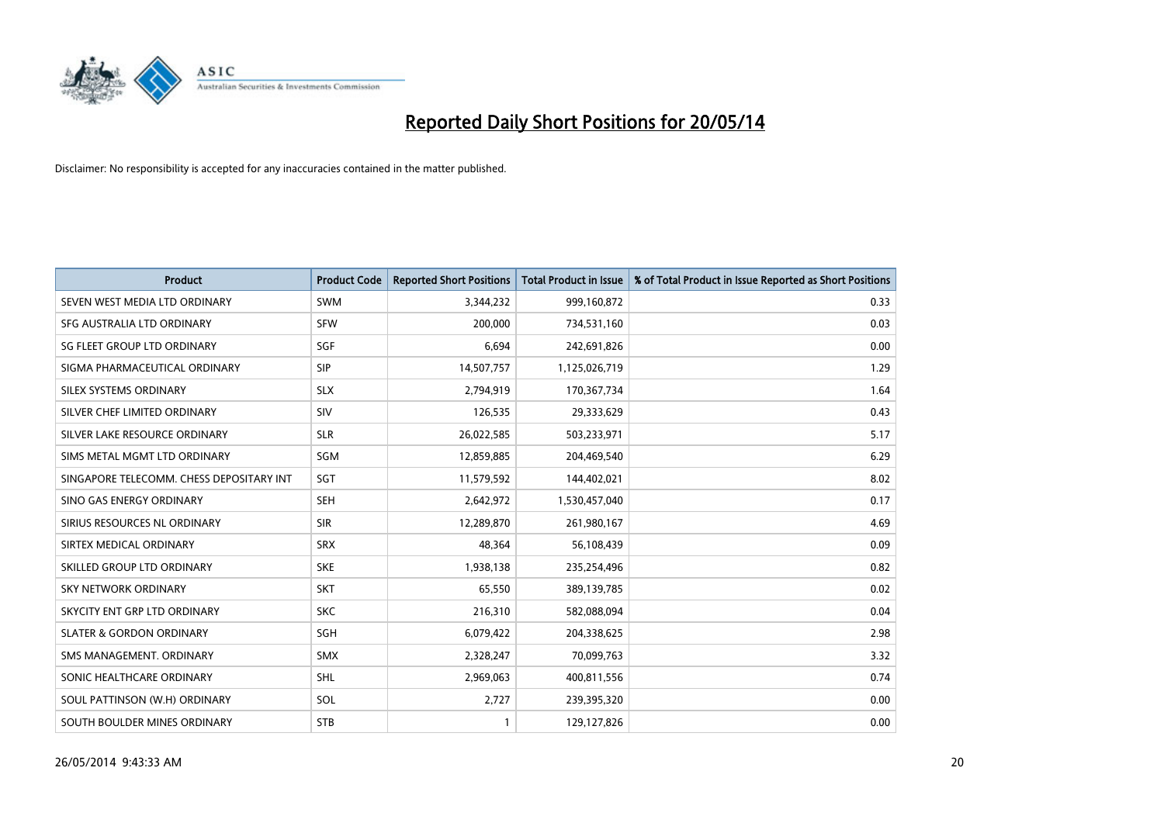

| <b>Product</b>                           | <b>Product Code</b> | <b>Reported Short Positions</b> | <b>Total Product in Issue</b> | % of Total Product in Issue Reported as Short Positions |
|------------------------------------------|---------------------|---------------------------------|-------------------------------|---------------------------------------------------------|
| SEVEN WEST MEDIA LTD ORDINARY            | SWM                 | 3,344,232                       | 999,160,872                   | 0.33                                                    |
| SFG AUSTRALIA LTD ORDINARY               | <b>SFW</b>          | 200,000                         | 734,531,160                   | 0.03                                                    |
| SG FLEET GROUP LTD ORDINARY              | SGF                 | 6,694                           | 242,691,826                   | 0.00                                                    |
| SIGMA PHARMACEUTICAL ORDINARY            | <b>SIP</b>          | 14,507,757                      | 1,125,026,719                 | 1.29                                                    |
| SILEX SYSTEMS ORDINARY                   | <b>SLX</b>          | 2,794,919                       | 170,367,734                   | 1.64                                                    |
| SILVER CHEF LIMITED ORDINARY             | SIV                 | 126,535                         | 29,333,629                    | 0.43                                                    |
| SILVER LAKE RESOURCE ORDINARY            | <b>SLR</b>          | 26,022,585                      | 503,233,971                   | 5.17                                                    |
| SIMS METAL MGMT LTD ORDINARY             | SGM                 | 12,859,885                      | 204,469,540                   | 6.29                                                    |
| SINGAPORE TELECOMM. CHESS DEPOSITARY INT | SGT                 | 11,579,592                      | 144,402,021                   | 8.02                                                    |
| SINO GAS ENERGY ORDINARY                 | <b>SEH</b>          | 2,642,972                       | 1,530,457,040                 | 0.17                                                    |
| SIRIUS RESOURCES NL ORDINARY             | <b>SIR</b>          | 12,289,870                      | 261,980,167                   | 4.69                                                    |
| SIRTEX MEDICAL ORDINARY                  | <b>SRX</b>          | 48,364                          | 56,108,439                    | 0.09                                                    |
| SKILLED GROUP LTD ORDINARY               | <b>SKE</b>          | 1,938,138                       | 235,254,496                   | 0.82                                                    |
| <b>SKY NETWORK ORDINARY</b>              | <b>SKT</b>          | 65,550                          | 389,139,785                   | 0.02                                                    |
| SKYCITY ENT GRP LTD ORDINARY             | <b>SKC</b>          | 216,310                         | 582,088,094                   | 0.04                                                    |
| <b>SLATER &amp; GORDON ORDINARY</b>      | SGH                 | 6,079,422                       | 204,338,625                   | 2.98                                                    |
| SMS MANAGEMENT, ORDINARY                 | <b>SMX</b>          | 2,328,247                       | 70,099,763                    | 3.32                                                    |
| SONIC HEALTHCARE ORDINARY                | <b>SHL</b>          | 2,969,063                       | 400,811,556                   | 0.74                                                    |
| SOUL PATTINSON (W.H) ORDINARY            | SOL                 | 2,727                           | 239,395,320                   | 0.00                                                    |
| SOUTH BOULDER MINES ORDINARY             | <b>STB</b>          |                                 | 129,127,826                   | 0.00                                                    |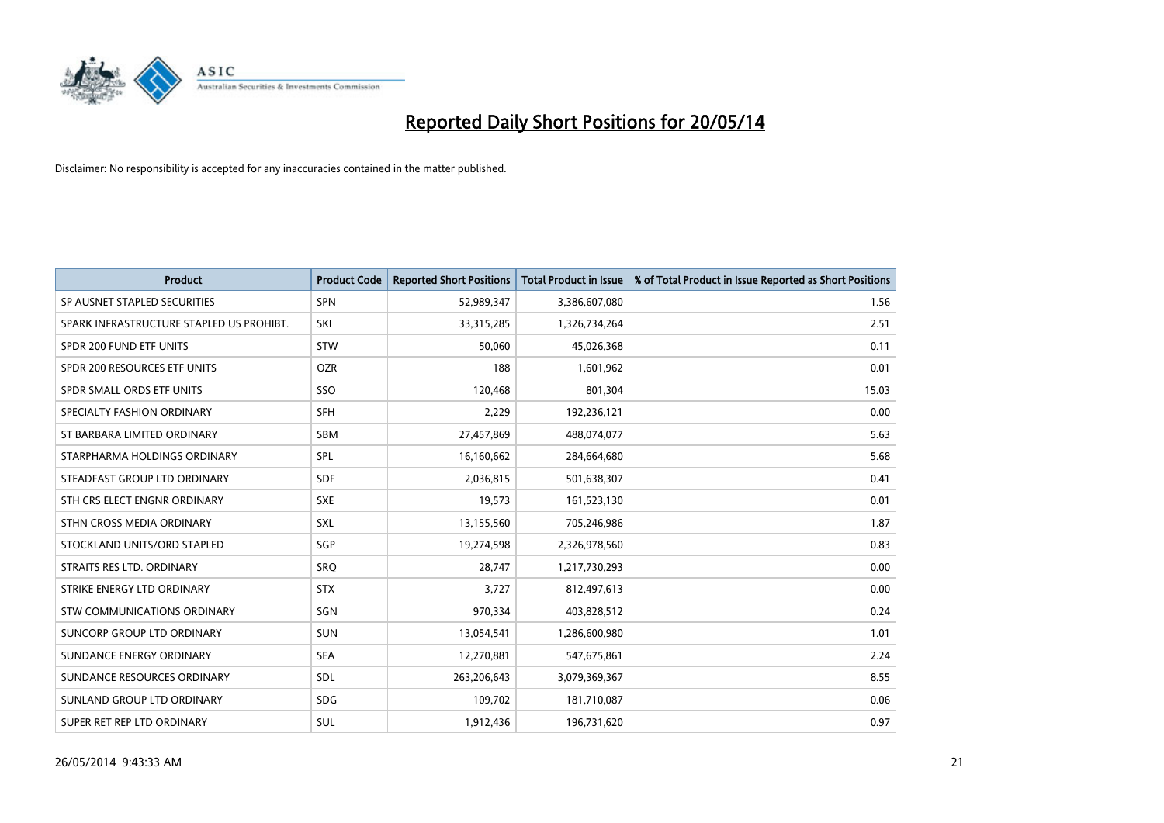

| <b>Product</b>                           | <b>Product Code</b> | <b>Reported Short Positions</b> | <b>Total Product in Issue</b> | % of Total Product in Issue Reported as Short Positions |
|------------------------------------------|---------------------|---------------------------------|-------------------------------|---------------------------------------------------------|
| SP AUSNET STAPLED SECURITIES             | SPN                 | 52,989,347                      | 3,386,607,080                 | 1.56                                                    |
| SPARK INFRASTRUCTURE STAPLED US PROHIBT. | SKI                 | 33,315,285                      | 1,326,734,264                 | 2.51                                                    |
| SPDR 200 FUND ETF UNITS                  | <b>STW</b>          | 50,060                          | 45,026,368                    | 0.11                                                    |
| SPDR 200 RESOURCES ETF UNITS             | <b>OZR</b>          | 188                             | 1,601,962                     | 0.01                                                    |
| SPDR SMALL ORDS ETF UNITS                | SSO                 | 120,468                         | 801,304                       | 15.03                                                   |
| SPECIALTY FASHION ORDINARY               | <b>SFH</b>          | 2,229                           | 192,236,121                   | 0.00                                                    |
| ST BARBARA LIMITED ORDINARY              | <b>SBM</b>          | 27,457,869                      | 488,074,077                   | 5.63                                                    |
| STARPHARMA HOLDINGS ORDINARY             | <b>SPL</b>          | 16,160,662                      | 284,664,680                   | 5.68                                                    |
| STEADFAST GROUP LTD ORDINARY             | <b>SDF</b>          | 2,036,815                       | 501,638,307                   | 0.41                                                    |
| STH CRS ELECT ENGNR ORDINARY             | <b>SXE</b>          | 19,573                          | 161,523,130                   | 0.01                                                    |
| STHN CROSS MEDIA ORDINARY                | SXL                 | 13,155,560                      | 705,246,986                   | 1.87                                                    |
| STOCKLAND UNITS/ORD STAPLED              | SGP                 | 19,274,598                      | 2,326,978,560                 | 0.83                                                    |
| STRAITS RES LTD. ORDINARY                | <b>SRQ</b>          | 28,747                          | 1,217,730,293                 | 0.00                                                    |
| STRIKE ENERGY LTD ORDINARY               | <b>STX</b>          | 3,727                           | 812,497,613                   | 0.00                                                    |
| STW COMMUNICATIONS ORDINARY              | SGN                 | 970,334                         | 403,828,512                   | 0.24                                                    |
| <b>SUNCORP GROUP LTD ORDINARY</b>        | <b>SUN</b>          | 13,054,541                      | 1,286,600,980                 | 1.01                                                    |
| SUNDANCE ENERGY ORDINARY                 | <b>SEA</b>          | 12,270,881                      | 547,675,861                   | 2.24                                                    |
| SUNDANCE RESOURCES ORDINARY              | SDL                 | 263,206,643                     | 3,079,369,367                 | 8.55                                                    |
| SUNLAND GROUP LTD ORDINARY               | <b>SDG</b>          | 109,702                         | 181,710,087                   | 0.06                                                    |
| SUPER RET REP LTD ORDINARY               | SUL                 | 1,912,436                       | 196,731,620                   | 0.97                                                    |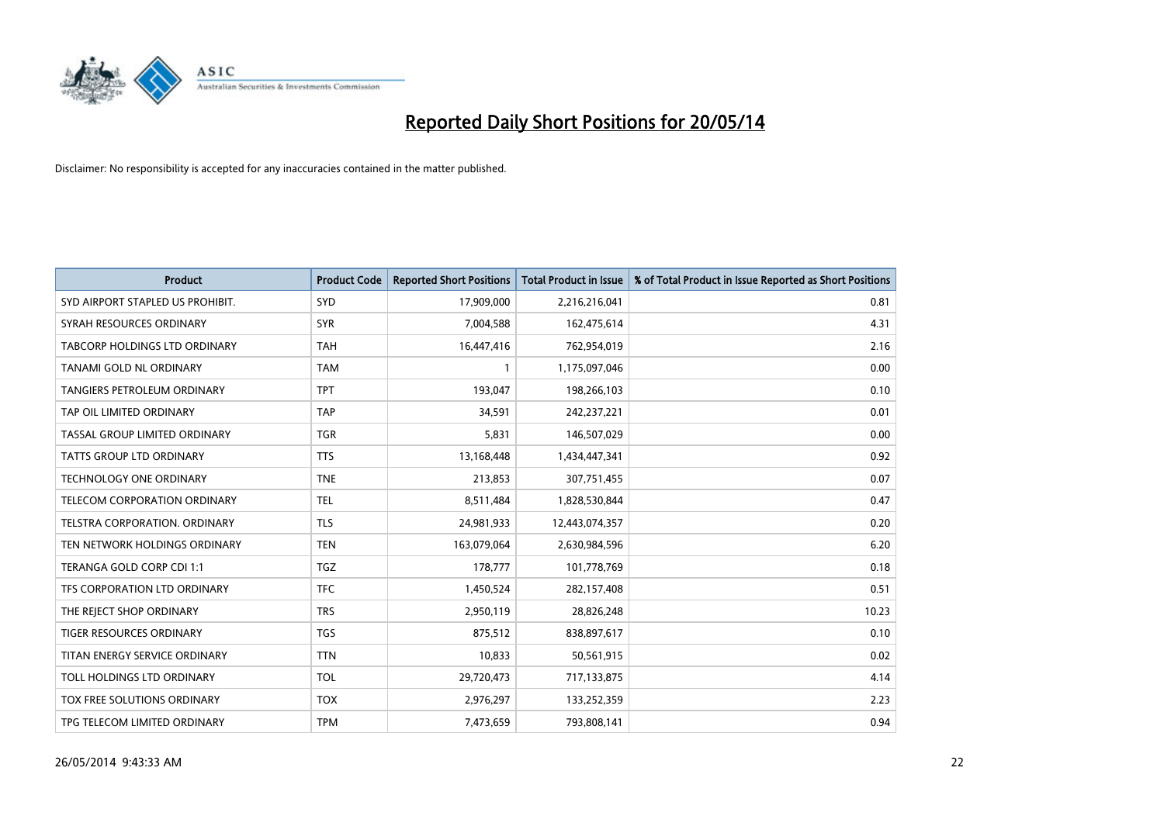

| <b>Product</b>                       | <b>Product Code</b> | <b>Reported Short Positions</b> | <b>Total Product in Issue</b> | % of Total Product in Issue Reported as Short Positions |
|--------------------------------------|---------------------|---------------------------------|-------------------------------|---------------------------------------------------------|
| SYD AIRPORT STAPLED US PROHIBIT.     | <b>SYD</b>          | 17,909,000                      | 2,216,216,041                 | 0.81                                                    |
| SYRAH RESOURCES ORDINARY             | <b>SYR</b>          | 7,004,588                       | 162,475,614                   | 4.31                                                    |
| <b>TABCORP HOLDINGS LTD ORDINARY</b> | <b>TAH</b>          | 16,447,416                      | 762,954,019                   | 2.16                                                    |
| TANAMI GOLD NL ORDINARY              | <b>TAM</b>          | 1                               | 1,175,097,046                 | 0.00                                                    |
| <b>TANGIERS PETROLEUM ORDINARY</b>   | <b>TPT</b>          | 193,047                         | 198,266,103                   | 0.10                                                    |
| TAP OIL LIMITED ORDINARY             | <b>TAP</b>          | 34,591                          | 242,237,221                   | 0.01                                                    |
| TASSAL GROUP LIMITED ORDINARY        | <b>TGR</b>          | 5,831                           | 146,507,029                   | 0.00                                                    |
| TATTS GROUP LTD ORDINARY             | <b>TTS</b>          | 13,168,448                      | 1,434,447,341                 | 0.92                                                    |
| <b>TECHNOLOGY ONE ORDINARY</b>       | <b>TNE</b>          | 213,853                         | 307,751,455                   | 0.07                                                    |
| <b>TELECOM CORPORATION ORDINARY</b>  | <b>TEL</b>          | 8,511,484                       | 1,828,530,844                 | 0.47                                                    |
| TELSTRA CORPORATION. ORDINARY        | <b>TLS</b>          | 24,981,933                      | 12,443,074,357                | 0.20                                                    |
| TEN NETWORK HOLDINGS ORDINARY        | <b>TEN</b>          | 163,079,064                     | 2,630,984,596                 | 6.20                                                    |
| TERANGA GOLD CORP CDI 1:1            | <b>TGZ</b>          | 178,777                         | 101,778,769                   | 0.18                                                    |
| TFS CORPORATION LTD ORDINARY         | <b>TFC</b>          | 1,450,524                       | 282,157,408                   | 0.51                                                    |
| THE REJECT SHOP ORDINARY             | <b>TRS</b>          | 2,950,119                       | 28,826,248                    | 10.23                                                   |
| TIGER RESOURCES ORDINARY             | <b>TGS</b>          | 875,512                         | 838,897,617                   | 0.10                                                    |
| TITAN ENERGY SERVICE ORDINARY        | <b>TTN</b>          | 10,833                          | 50,561,915                    | 0.02                                                    |
| TOLL HOLDINGS LTD ORDINARY           | <b>TOL</b>          | 29,720,473                      | 717,133,875                   | 4.14                                                    |
| TOX FREE SOLUTIONS ORDINARY          | <b>TOX</b>          | 2,976,297                       | 133,252,359                   | 2.23                                                    |
| TPG TELECOM LIMITED ORDINARY         | <b>TPM</b>          | 7,473,659                       | 793,808,141                   | 0.94                                                    |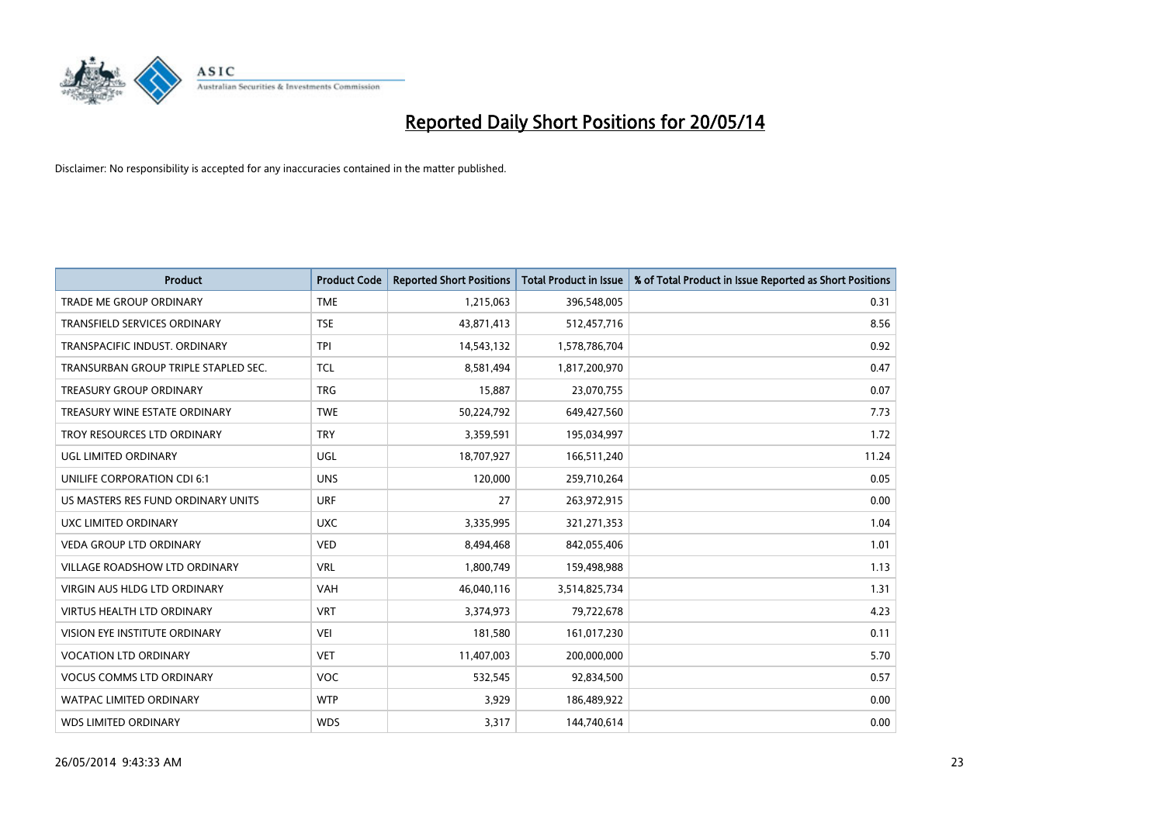

| Product                              | <b>Product Code</b> | <b>Reported Short Positions</b> | <b>Total Product in Issue</b> | % of Total Product in Issue Reported as Short Positions |
|--------------------------------------|---------------------|---------------------------------|-------------------------------|---------------------------------------------------------|
| <b>TRADE ME GROUP ORDINARY</b>       | <b>TME</b>          | 1,215,063                       | 396,548,005                   | 0.31                                                    |
| TRANSFIELD SERVICES ORDINARY         | <b>TSE</b>          | 43,871,413                      | 512,457,716                   | 8.56                                                    |
| TRANSPACIFIC INDUST. ORDINARY        | <b>TPI</b>          | 14,543,132                      | 1,578,786,704                 | 0.92                                                    |
| TRANSURBAN GROUP TRIPLE STAPLED SEC. | <b>TCL</b>          | 8,581,494                       | 1,817,200,970                 | 0.47                                                    |
| <b>TREASURY GROUP ORDINARY</b>       | <b>TRG</b>          | 15,887                          | 23,070,755                    | 0.07                                                    |
| TREASURY WINE ESTATE ORDINARY        | <b>TWE</b>          | 50,224,792                      | 649,427,560                   | 7.73                                                    |
| TROY RESOURCES LTD ORDINARY          | <b>TRY</b>          | 3,359,591                       | 195,034,997                   | 1.72                                                    |
| UGL LIMITED ORDINARY                 | UGL                 | 18,707,927                      | 166,511,240                   | 11.24                                                   |
| UNILIFE CORPORATION CDI 6:1          | <b>UNS</b>          | 120,000                         | 259,710,264                   | 0.05                                                    |
| US MASTERS RES FUND ORDINARY UNITS   | <b>URF</b>          | 27                              | 263,972,915                   | 0.00                                                    |
| UXC LIMITED ORDINARY                 | <b>UXC</b>          | 3,335,995                       | 321,271,353                   | 1.04                                                    |
| VEDA GROUP LTD ORDINARY              | <b>VED</b>          | 8,494,468                       | 842,055,406                   | 1.01                                                    |
| <b>VILLAGE ROADSHOW LTD ORDINARY</b> | <b>VRL</b>          | 1,800,749                       | 159,498,988                   | 1.13                                                    |
| <b>VIRGIN AUS HLDG LTD ORDINARY</b>  | <b>VAH</b>          | 46,040,116                      | 3,514,825,734                 | 1.31                                                    |
| <b>VIRTUS HEALTH LTD ORDINARY</b>    | <b>VRT</b>          | 3,374,973                       | 79,722,678                    | 4.23                                                    |
| VISION EYE INSTITUTE ORDINARY        | <b>VEI</b>          | 181,580                         | 161,017,230                   | 0.11                                                    |
| <b>VOCATION LTD ORDINARY</b>         | <b>VET</b>          | 11,407,003                      | 200,000,000                   | 5.70                                                    |
| <b>VOCUS COMMS LTD ORDINARY</b>      | <b>VOC</b>          | 532,545                         | 92,834,500                    | 0.57                                                    |
| <b>WATPAC LIMITED ORDINARY</b>       | <b>WTP</b>          | 3,929                           | 186,489,922                   | 0.00                                                    |
| WDS LIMITED ORDINARY                 | <b>WDS</b>          | 3,317                           | 144,740,614                   | 0.00                                                    |